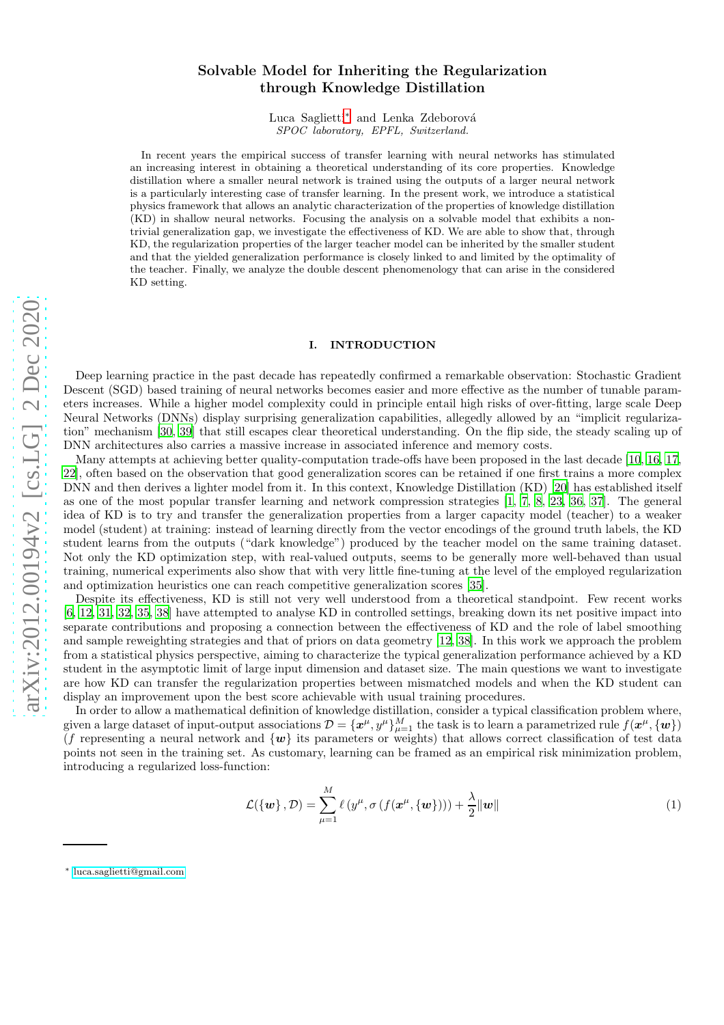# Solvable Model for Inheriting the Regularization through Knowledge Distillation

Luca Saglietti<sup>\*</sup> and Lenka Zdeborová *SPOC laboratory, EPFL, Switzerland.*

In recent years the empirical success of transfer learning with neural networks has stimulated an increasing interest in obtaining a theoretical understanding of its core properties. Knowledge distillation where a smaller neural network is trained using the outputs of a larger neural network is a particularly interesting case of transfer learning. In the present work, we introduce a statistical physics framework that allows an analytic characterization of the properties of knowledge distillation (KD) in shallow neural networks. Focusing the analysis on a solvable model that exhibits a nontrivial generalization gap, we investigate the effectiveness of KD. We are able to show that, through KD, the regularization properties of the larger teacher model can be inherited by the smaller student and that the yielded generalization performance is closely linked to and limited by the optimality of the teacher. Finally, we analyze the double descent phenomenology that can arise in the considered KD setting.

### I. INTRODUCTION

Deep learning practice in the past decade has repeatedly confirmed a remarkable observation: Stochastic Gradient Descent (SGD) based training of neural networks becomes easier and more effective as the number of tunable parameters increases. While a higher model complexity could in principle entail high risks of over-fitting, large scale Deep Neural Networks (DNNs) display surprising generalization capabilities, allegedly allowed by an "implicit regularization" mechanism [\[30,](#page-12-0) [39\]](#page-12-1) that still escapes clear theoretical understanding. On the flip side, the steady scaling up of DNN architectures also carries a massive increase in associated inference and memory costs.

Many attempts at achieving better quality-computation trade-offs have been proposed in the last decade [\[10,](#page-11-0) [16,](#page-11-1) [17,](#page-11-2) [22](#page-11-3)], often based on the observation that good generalization scores can be retained if one first trains a more complex DNN and then derives a lighter model from it. In this context, Knowledge Distillation (KD) [\[20\]](#page-11-4) has established itself as one of the most popular transfer learning and network compression strategies [\[1,](#page-11-5) [7,](#page-11-6) [8](#page-11-7), [23](#page-11-8), [36,](#page-12-2) [37\]](#page-12-3). The general idea of KD is to try and transfer the generalization properties from a larger capacity model (teacher) to a weaker model (student) at training: instead of learning directly from the vector encodings of the ground truth labels, the KD student learns from the outputs ("dark knowledge") produced by the teacher model on the same training dataset. Not only the KD optimization step, with real-valued outputs, seems to be generally more well-behaved than usual training, numerical experiments also show that with very little fine-tuning at the level of the employed regularization and optimization heuristics one can reach competitive generalization scores [\[35](#page-12-4)].

Despite its effectiveness, KD is still not very well understood from a theoretical standpoint. Few recent works [\[6,](#page-11-9) [12,](#page-11-10) [31](#page-12-5), [32](#page-12-6), [35,](#page-12-4) [38\]](#page-12-7) have attempted to analyse KD in controlled settings, breaking down its net positive impact into separate contributions and proposing a connection between the effectiveness of KD and the role of label smoothing and sample reweighting strategies and that of priors on data geometry [\[12,](#page-11-10) [38\]](#page-12-7). In this work we approach the problem from a statistical physics perspective, aiming to characterize the typical generalization performance achieved by a KD student in the asymptotic limit of large input dimension and dataset size. The main questions we want to investigate are how KD can transfer the regularization properties between mismatched models and when the KD student can display an improvement upon the best score achievable with usual training procedures.

In order to allow a mathematical definition of knowledge distillation, consider a typical classification problem where, given a large dataset of input-output associations  $\mathcal{D} = {\lbrace \mathbf{x}^{\mu}, y^{\mu} \rbrace}_{\mu=1}^{M}$  the task is to learn a parametrized rule  $f(\mathbf{x}^{\mu}, {\lbrace \mathbf{w} \rbrace})$ (f representing a neural network and  $\{w\}$  its parameters or weights) that allows correct classification of test data points not seen in the training set. As customary, learning can be framed as an empirical risk minimization problem, introducing a regularized loss-function:

$$
\mathcal{L}(\{\mathbf{w}\}, \mathcal{D}) = \sum_{\mu=1}^{M} \ell(y^{\mu}, \sigma(f(\mathbf{x}^{\mu}, \{\mathbf{w}\}))) + \frac{\lambda}{2} ||\mathbf{w}|| \tag{1}
$$

<span id="page-0-0"></span><sup>∗</sup> [luca.saglietti@gmail.com](mailto:luca.saglietti@gmail.com)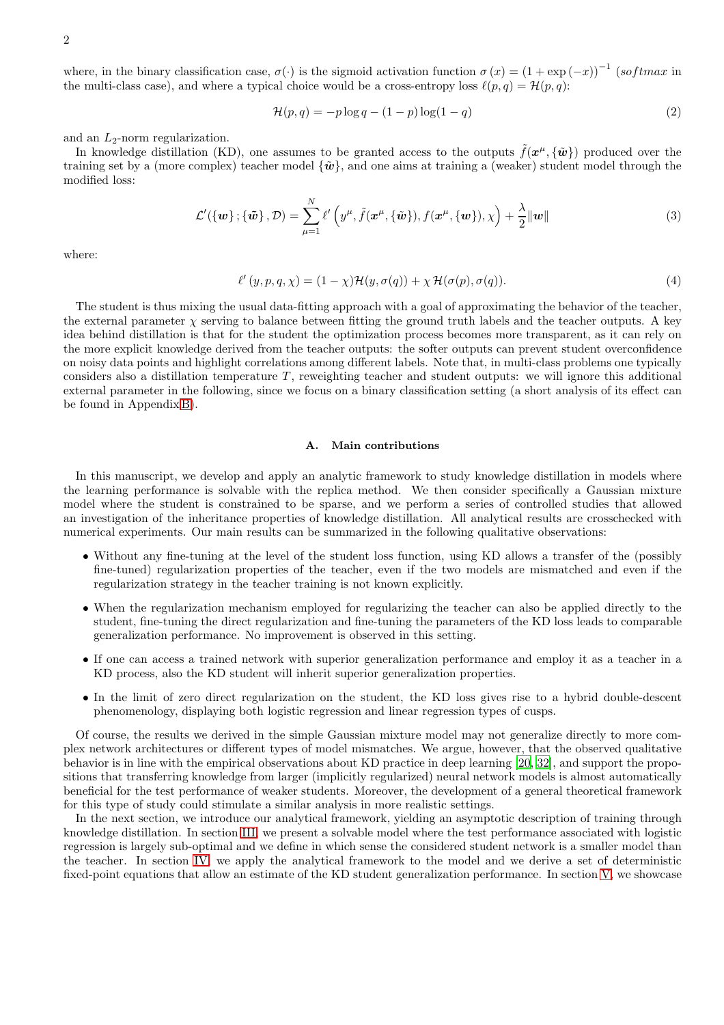where, in the binary classification case,  $\sigma(\cdot)$  is the sigmoid activation function  $\sigma(x) = (1 + \exp(-x))^{-1}$  (softmax in the multi-class case), and where a typical choice would be a cross-entropy loss  $\ell(p,q) = \mathcal{H}(p,q)$ :

$$
\mathcal{H}(p,q) = -p \log q - (1-p) \log(1-q) \tag{2}
$$

and an  $L_2$ -norm regularization.

In knowledge distillation (KD), one assumes to be granted access to the outputs  $\tilde{f}(\boldsymbol{x}^{\mu}, {\tilde{\boldsymbol{w}}})$  produced over the training set by a (more complex) teacher model  $\{\tilde{\boldsymbol{w}}\}$ , and one aims at training a (weaker) student model through the modified loss:

$$
\mathcal{L}'(\{\boldsymbol{w}\};\{\tilde{\boldsymbol{w}}\},\mathcal{D})=\sum_{\mu=1}^N\ell'\left(y^{\mu},\tilde{f}(\boldsymbol{x}^{\mu},\{\tilde{\boldsymbol{w}}\}),f(\boldsymbol{x}^{\mu},\{\boldsymbol{w}\}),\chi\right)+\frac{\lambda}{2}\|\boldsymbol{w}\|
$$
(3)

where:

<span id="page-1-0"></span>
$$
\ell'(y, p, q, \chi) = (1 - \chi)\mathcal{H}(y, \sigma(q)) + \chi \mathcal{H}(\sigma(p), \sigma(q)).
$$
\n(4)

The student is thus mixing the usual data-fitting approach with a goal of approximating the behavior of the teacher, the external parameter  $\chi$  serving to balance between fitting the ground truth labels and the teacher outputs. A key idea behind distillation is that for the student the optimization process becomes more transparent, as it can rely on the more explicit knowledge derived from the teacher outputs: the softer outputs can prevent student overconfidence on noisy data points and highlight correlations among different labels. Note that, in multi-class problems one typically considers also a distillation temperature  $T$ , reweighting teacher and student outputs: we will ignore this additional external parameter in the following, since we focus on a binary classification setting (a short analysis of its effect can be found in Appendix [B\)](#page-23-0).

# A. Main contributions

In this manuscript, we develop and apply an analytic framework to study knowledge distillation in models where the learning performance is solvable with the replica method. We then consider specifically a Gaussian mixture model where the student is constrained to be sparse, and we perform a series of controlled studies that allowed an investigation of the inheritance properties of knowledge distillation. All analytical results are crosschecked with numerical experiments. Our main results can be summarized in the following qualitative observations:

- Without any fine-tuning at the level of the student loss function, using KD allows a transfer of the (possibly fine-tuned) regularization properties of the teacher, even if the two models are mismatched and even if the regularization strategy in the teacher training is not known explicitly.
- When the regularization mechanism employed for regularizing the teacher can also be applied directly to the student, fine-tuning the direct regularization and fine-tuning the parameters of the KD loss leads to comparable generalization performance. No improvement is observed in this setting.
- If one can access a trained network with superior generalization performance and employ it as a teacher in a KD process, also the KD student will inherit superior generalization properties.
- In the limit of zero direct regularization on the student, the KD loss gives rise to a hybrid double-descent phenomenology, displaying both logistic regression and linear regression types of cusps.

Of course, the results we derived in the simple Gaussian mixture model may not generalize directly to more complex network architectures or different types of model mismatches. We argue, however, that the observed qualitative behavior is in line with the empirical observations about KD practice in deep learning [\[20,](#page-11-4) [32\]](#page-12-6), and support the propositions that transferring knowledge from larger (implicitly regularized) neural network models is almost automatically beneficial for the test performance of weaker students. Moreover, the development of a general theoretical framework for this type of study could stimulate a similar analysis in more realistic settings.

In the next section, we introduce our analytical framework, yielding an asymptotic description of training through knowledge distillation. In section [III,](#page-3-0) we present a solvable model where the test performance associated with logistic regression is largely sub-optimal and we define in which sense the considered student network is a smaller model than the teacher. In section [IV,](#page-4-0) we apply the analytical framework to the model and we derive a set of deterministic fixed-point equations that allow an estimate of the KD student generalization performance. In section [V,](#page-6-0) we showcase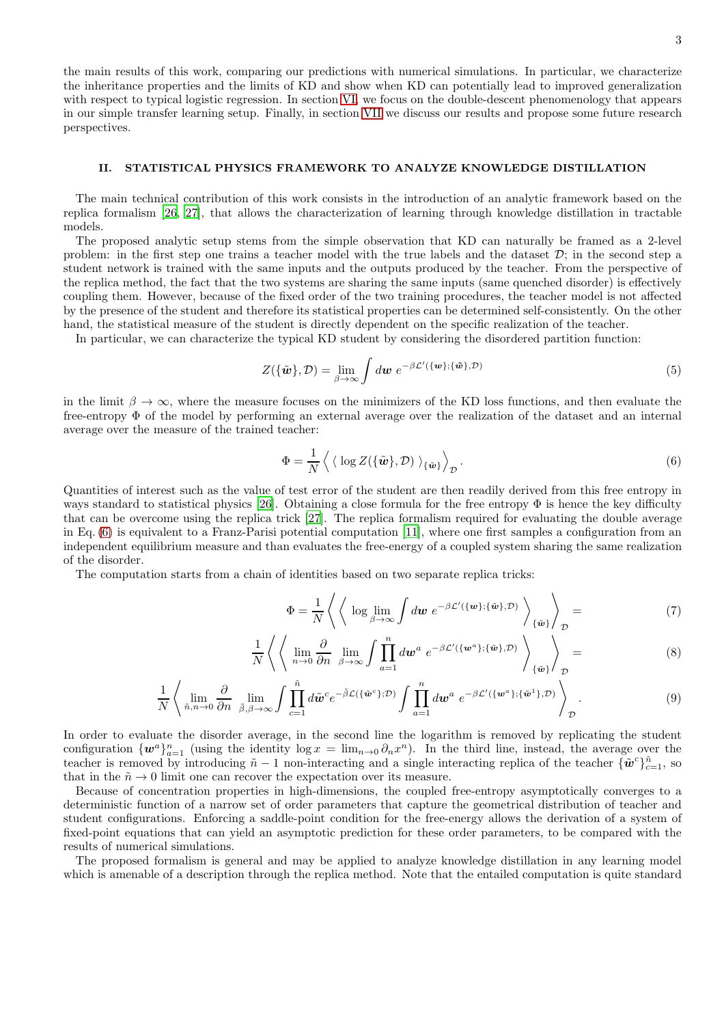the main results of this work, comparing our predictions with numerical simulations. In particular, we characterize the inheritance properties and the limits of KD and show when KD can potentially lead to improved generalization with respect to typical logistic regression. In section [VI,](#page-9-0) we focus on the double-descent phenomenology that appears in our simple transfer learning setup. Finally, in section [VII](#page-10-0) we discuss our results and propose some future research perspectives.

# <span id="page-2-1"></span>II. STATISTICAL PHYSICS FRAMEWORK TO ANALYZE KNOWLEDGE DISTILLATION

The main technical contribution of this work consists in the introduction of an analytic framework based on the replica formalism [\[26](#page-11-11), [27\]](#page-11-12), that allows the characterization of learning through knowledge distillation in tractable models.

The proposed analytic setup stems from the simple observation that KD can naturally be framed as a 2-level problem: in the first step one trains a teacher model with the true labels and the dataset  $\mathcal{D}$ ; in the second step a student network is trained with the same inputs and the outputs produced by the teacher. From the perspective of the replica method, the fact that the two systems are sharing the same inputs (same quenched disorder) is effectively coupling them. However, because of the fixed order of the two training procedures, the teacher model is not affected by the presence of the student and therefore its statistical properties can be determined self-consistently. On the other hand, the statistical measure of the student is directly dependent on the specific realization of the teacher.

In particular, we can characterize the typical KD student by considering the disordered partition function:

$$
Z(\{\tilde{\boldsymbol{w}}\}, \mathcal{D}) = \lim_{\beta \to \infty} \int d\boldsymbol{w} \ e^{-\beta \mathcal{L}'(\{\boldsymbol{w}\}; \{\tilde{\boldsymbol{w}}\}, \mathcal{D})} \tag{5}
$$

in the limit  $\beta \to \infty$ , where the measure focuses on the minimizers of the KD loss functions, and then evaluate the free-entropy Φ of the model by performing an external average over the realization of the dataset and an internal average over the measure of the trained teacher:

$$
\Phi = \frac{1}{N} \left\langle \langle \log Z(\{\tilde{\boldsymbol{w}}\}, \mathcal{D}) \rangle_{\{\tilde{\boldsymbol{w}}\}} \right\rangle_{\mathcal{D}}.
$$
\n(6)

Quantities of interest such as the value of test error of the student are then readily derived from this free entropy in ways standard to statistical physics [\[26](#page-11-11)]. Obtaining a close formula for the free entropy  $\Phi$  is hence the key difficulty that can be overcome using the replica trick [\[27](#page-11-12)]. The replica formalism required for evaluating the double average in Eq. [\(6\)](#page-2-0) is equivalent to a Franz-Parisi potential computation [\[11](#page-11-13)], where one first samples a configuration from an independent equilibrium measure and than evaluates the free-energy of a coupled system sharing the same realization of the disorder.

The computation starts from a chain of identities based on two separate replica tricks:

<span id="page-2-2"></span><span id="page-2-0"></span>
$$
\Phi = \frac{1}{N} \left\langle \left\langle \log \lim_{\beta \to \infty} \int dw \ e^{-\beta \mathcal{L}'(\{\mathbf{w}\}; \{\tilde{\mathbf{w}}\}, \mathcal{D})} \right\rangle_{\{\tilde{\mathbf{w}}\}} \right\rangle_{\mathcal{D}} = \tag{7}
$$

$$
\frac{1}{N} \left\langle \left\langle \lim_{n \to 0} \frac{\partial}{\partial n} \lim_{\beta \to \infty} \int \prod_{a=1}^{n} d\mathbf{w}^{a} e^{-\beta \mathcal{L}'(\{\mathbf{w}^{a}\}; \{\tilde{\mathbf{w}}\}, \mathcal{D})} \right\rangle_{\{\tilde{\mathbf{w}}\}} \right\rangle_{\mathcal{D}} =
$$
\n(8)

$$
\frac{1}{N} \left\langle \lim_{\tilde{n}, n \to 0} \frac{\partial}{\partial n} \lim_{\tilde{\beta}, \beta \to \infty} \int \prod_{c=1}^{\tilde{n}} d\tilde{\boldsymbol{w}}^c e^{-\tilde{\beta} \mathcal{L}(\{\tilde{\boldsymbol{w}}^c\}; \mathcal{D})} \int \prod_{a=1}^n d\boldsymbol{w}^a e^{-\beta \mathcal{L}'(\{\boldsymbol{w}^a\}; \{\tilde{\boldsymbol{w}}^1\}; \mathcal{D})} \right\rangle_{\mathcal{D}}.
$$
\n(9)

In order to evaluate the disorder average, in the second line the logarithm is removed by replicating the student configuration  $\{w^a\}_{a=1}^n$  (using the identity  $\log x = \lim_{n\to 0} \partial_n x^n$ ). In the third line, instead, the average over the teacher is removed by introducing  $\tilde{n} - 1$  non-interacting and a single interacting replica of the teacher  $\{\tilde{\boldsymbol{w}}^c\}_{c=1}^{\tilde{n}}$ , so that in the  $\tilde{n} \to 0$  limit one can recover the expectation over its measure.

Because of concentration properties in high-dimensions, the coupled free-entropy asymptotically converges to a deterministic function of a narrow set of order parameters that capture the geometrical distribution of teacher and student configurations. Enforcing a saddle-point condition for the free-energy allows the derivation of a system of fixed-point equations that can yield an asymptotic prediction for these order parameters, to be compared with the results of numerical simulations.

The proposed formalism is general and may be applied to analyze knowledge distillation in any learning model which is amenable of a description through the replica method. Note that the entailed computation is quite standard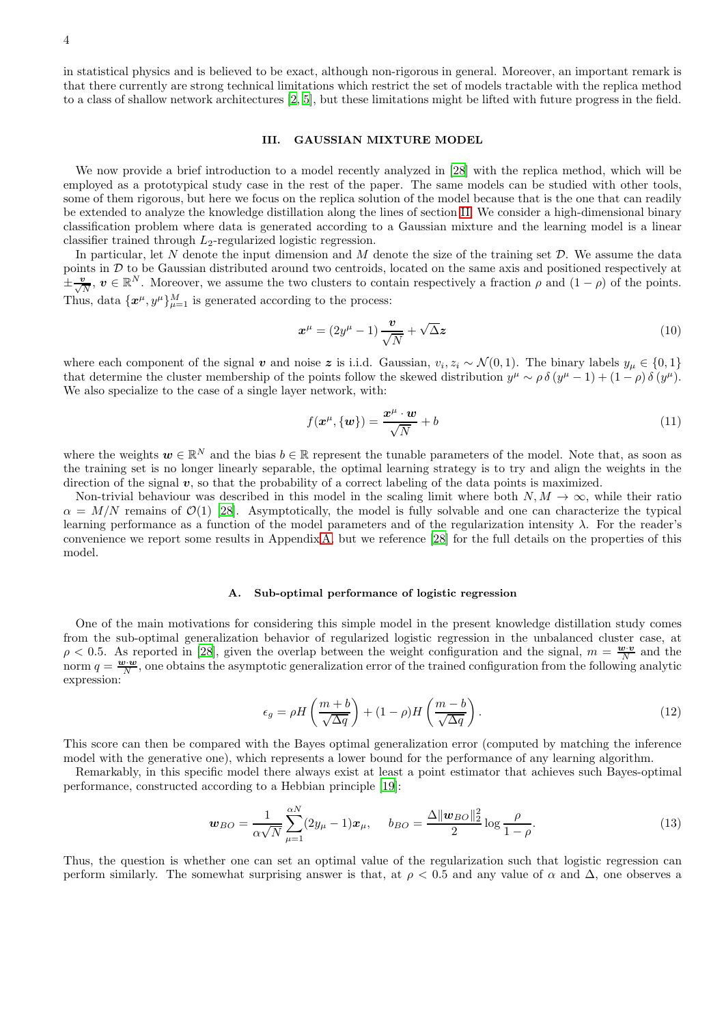in statistical physics and is believed to be exact, although non-rigorous in general. Moreover, an important remark is that there currently are strong technical limitations which restrict the set of models tractable with the replica method to a class of shallow network architectures [\[2,](#page-11-14) [5\]](#page-11-15), but these limitations might be lifted with future progress in the field.

### <span id="page-3-0"></span>III. GAUSSIAN MIXTURE MODEL

We now provide a brief introduction to a model recently analyzed in [\[28](#page-11-16)] with the replica method, which will be employed as a prototypical study case in the rest of the paper. The same models can be studied with other tools, some of them rigorous, but here we focus on the replica solution of the model because that is the one that can readily be extended to analyze the knowledge distillation along the lines of section [II.](#page-2-1) We consider a high-dimensional binary classification problem where data is generated according to a Gaussian mixture and the learning model is a linear classifier trained through  $L_2$ -regularized logistic regression.

In particular, let  $N$  denote the input dimension and  $M$  denote the size of the training set  $D$ . We assume the data points in D to be Gaussian distributed around two centroids, located on the same axis and positioned respectively at  $\pm \frac{v}{\sqrt{N}}$ ,  $v \in \mathbb{R}^N$ . Moreover, we assume the two clusters to contain respectively a fraction  $\rho$  and  $(1 - \rho)$  of the points. Thus, data  $\{x^{\mu}, y^{\mu}\}_{\mu=1}^{M}$  is generated according to the process:

$$
x^{\mu} = (2y^{\mu} - 1)\frac{\nu}{\sqrt{N}} + \sqrt{\Delta}z
$$
\n(10)

where each component of the signal v and noise z is i.i.d. Gaussian,  $v_i, z_i \sim \mathcal{N}(0, 1)$ . The binary labels  $y_\mu \in \{0, 1\}$ that determine the cluster membership of the points follow the skewed distribution  $y^{\mu} \sim \rho \delta (y^{\mu} - 1) + (1 - \rho) \delta (y^{\mu})$ . We also specialize to the case of a single layer network, with:

$$
f(\mathbf{x}^{\mu}, \{\mathbf{w}\}) = \frac{\mathbf{x}^{\mu} \cdot \mathbf{w}}{\sqrt{N}} + b \tag{11}
$$

where the weights  $w \in \mathbb{R}^N$  and the bias  $b \in \mathbb{R}$  represent the tunable parameters of the model. Note that, as soon as the training set is no longer linearly separable, the optimal learning strategy is to try and align the weights in the direction of the signal  $v$ , so that the probability of a correct labeling of the data points is maximized.

Non-trivial behaviour was described in this model in the scaling limit where both  $N, M \to \infty$ , while their ratio  $\alpha = M/N$  remains of  $\mathcal{O}(1)$  [\[28](#page-11-16)]. Asymptotically, the model is fully solvable and one can characterize the typical learning performance as a function of the model parameters and of the regularization intensity λ. For the reader's convenience we report some results in Appendix [A,](#page-13-0) but we reference [\[28](#page-11-16)] for the full details on the properties of this model.

#### A. Sub-optimal performance of logistic regression

One of the main motivations for considering this simple model in the present knowledge distillation study comes from the sub-optimal generalization behavior of regularized logistic regression in the unbalanced cluster case, at  $\rho$  < 0.5. As reported in [\[28\]](#page-11-16), given the overlap between the weight configuration and the signal,  $m = \frac{w \cdot v}{N}$  and the norm  $q = \frac{w \cdot w}{N}$ , one obtains the asymptotic generalization error of the trained configuration from the following analytic expression:

<span id="page-3-2"></span>
$$
\epsilon_g = \rho H \left( \frac{m+b}{\sqrt{\Delta q}} \right) + (1-\rho) H \left( \frac{m-b}{\sqrt{\Delta q}} \right). \tag{12}
$$

This score can then be compared with the Bayes optimal generalization error (computed by matching the inference model with the generative one), which represents a lower bound for the performance of any learning algorithm.

Remarkably, in this specific model there always exist at least a point estimator that achieves such Bayes-optimal performance, constructed according to a Hebbian principle [\[19](#page-11-17)]:

<span id="page-3-1"></span>
$$
\boldsymbol{w}_{BO} = \frac{1}{\alpha \sqrt{N}} \sum_{\mu=1}^{\alpha N} (2y_{\mu} - 1) \boldsymbol{x}_{\mu}, \quad b_{BO} = \frac{\Delta ||\boldsymbol{w}_{BO}||_2^2}{2} \log \frac{\rho}{1 - \rho}.
$$
 (13)

Thus, the question is whether one can set an optimal value of the regularization such that logistic regression can perform similarly. The somewhat surprising answer is that, at  $\rho < 0.5$  and any value of  $\alpha$  and  $\Delta$ , one observes a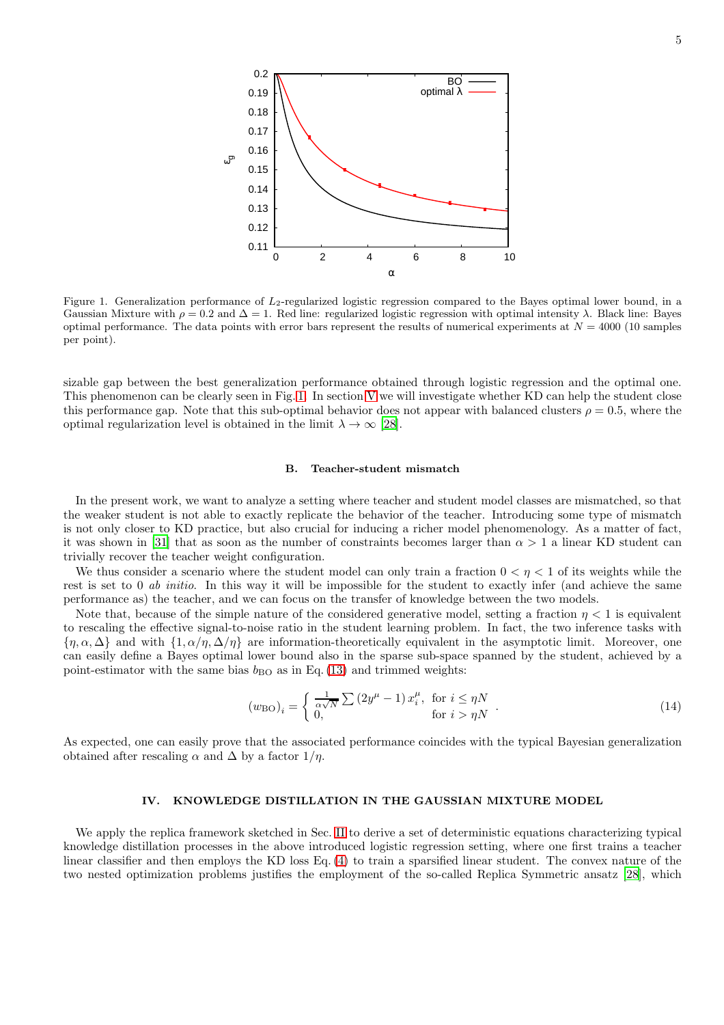

<span id="page-4-1"></span>Figure 1. Generalization performance of  $L_2$ -regularized logistic regression compared to the Bayes optimal lower bound, in a Gaussian Mixture with  $\rho = 0.2$  and  $\Delta = 1$ . Red line: regularized logistic regression with optimal intensity  $\lambda$ . Black line: Bayes optimal performance. The data points with error bars represent the results of numerical experiments at  $N = 4000$  (10 samples per point).

sizable gap between the best generalization performance obtained through logistic regression and the optimal one. This phenomenon can be clearly seen in Fig. [1.](#page-4-1) In section [V](#page-6-0) we will investigate whether KD can help the student close this performance gap. Note that this sub-optimal behavior does not appear with balanced clusters  $\rho = 0.5$ , where the optimal regularization level is obtained in the limit  $\lambda \to \infty$  [\[28](#page-11-16)].

### B. Teacher-student mismatch

In the present work, we want to analyze a setting where teacher and student model classes are mismatched, so that the weaker student is not able to exactly replicate the behavior of the teacher. Introducing some type of mismatch is not only closer to KD practice, but also crucial for inducing a richer model phenomenology. As a matter of fact, it was shown in [\[31](#page-12-5)] that as soon as the number of constraints becomes larger than  $\alpha > 1$  a linear KD student can trivially recover the teacher weight configuration.

We thus consider a scenario where the student model can only train a fraction  $0 < \eta < 1$  of its weights while the rest is set to 0 *ab initio*. In this way it will be impossible for the student to exactly infer (and achieve the same performance as) the teacher, and we can focus on the transfer of knowledge between the two models.

Note that, because of the simple nature of the considered generative model, setting a fraction  $\eta < 1$  is equivalent to rescaling the effective signal-to-noise ratio in the student learning problem. In fact, the two inference tasks with  $\{\eta,\alpha,\Delta\}$  and with  $\{1,\alpha/\eta,\Delta/\eta\}$  are information-theoretically equivalent in the asymptotic limit. Moreover, one can easily define a Bayes optimal lower bound also in the sparse sub-space spanned by the student, achieved by a point-estimator with the same bias  $b_{\text{BO}}$  as in Eq. [\(13\)](#page-3-1) and trimmed weights:

$$
\left(w_{\text{BO}}\right)_i = \begin{cases} \frac{1}{\alpha\sqrt{N}} \sum \left(2y^{\mu} - 1\right) x_i^{\mu}, & \text{for } i \leq \eta N \\ 0, & \text{for } i > \eta N \end{cases} \tag{14}
$$

As expected, one can easily prove that the associated performance coincides with the typical Bayesian generalization obtained after rescaling  $\alpha$  and  $\Delta$  by a factor  $1/\eta$ .

#### <span id="page-4-0"></span>IV. KNOWLEDGE DISTILLATION IN THE GAUSSIAN MIXTURE MODEL

We apply the replica framework sketched in Sec. [II](#page-2-1) to derive a set of deterministic equations characterizing typical knowledge distillation processes in the above introduced logistic regression setting, where one first trains a teacher linear classifier and then employs the KD loss Eq. [\(4\)](#page-1-0) to train a sparsified linear student. The convex nature of the two nested optimization problems justifies the employment of the so-called Replica Symmetric ansatz [\[28\]](#page-11-16), which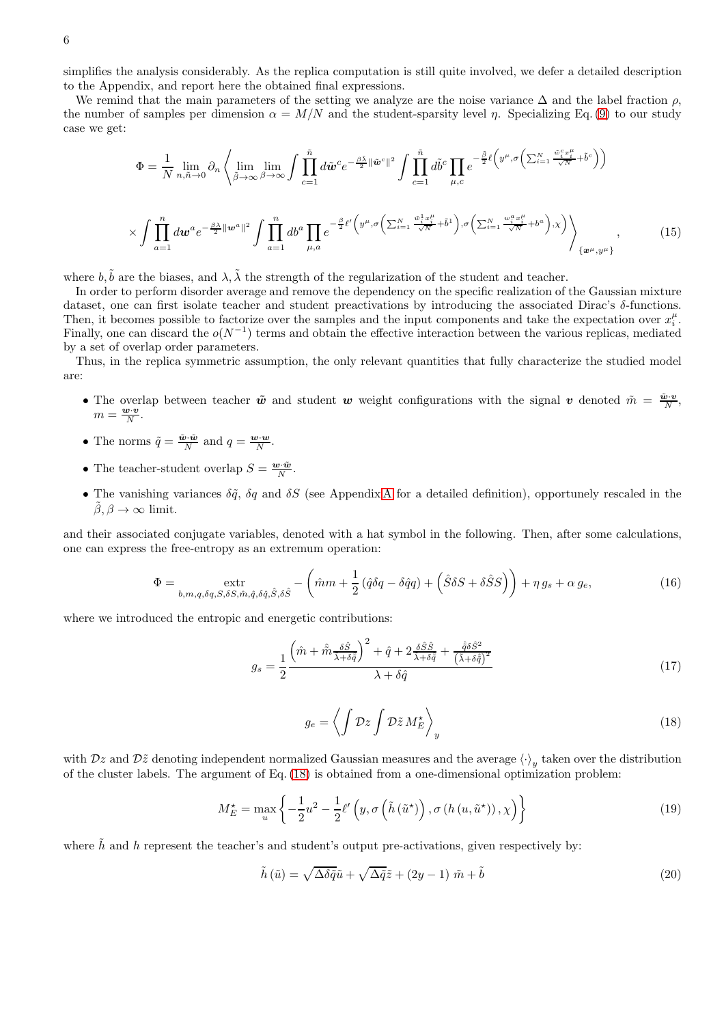simplifies the analysis considerably. As the replica computation is still quite involved, we defer a detailed description to the Appendix, and report here the obtained final expressions.

We remind that the main parameters of the setting we analyze are the noise variance  $\Delta$  and the label fraction  $\rho$ , the number of samples per dimension  $\alpha = M/N$  and the student-sparsity level  $\eta$ . Specializing Eq. [\(9\)](#page-2-2) to our study case we get:

$$
\Phi = \frac{1}{N} \lim_{n,\tilde{n}\to 0} \partial_n \left\langle \lim_{\tilde{\beta}\to\infty} \lim_{\beta\to\infty} \int \prod_{c=1}^{\tilde{n}} d\tilde{w}^c e^{-\frac{\beta \tilde{\lambda}}{2} ||\tilde{w}^c||^2} \int \prod_{c=1}^{\tilde{n}} d\tilde{b}^c \prod_{\mu,c} e^{-\frac{\tilde{\beta}}{2} \ell \left(y^{\mu}, \sigma \left(\sum_{i=1}^N \frac{\tilde{w}_i^c x_i^{\mu}}{\sqrt{N}} + \tilde{b}^c\right)\right)} \right\rangle \times \int \prod_{a=1}^n d\tilde{w}^a e^{-\frac{\beta \lambda}{2} ||\tilde{w}^a||^2} \int \prod_{a=1}^n d\tilde{b}^a \prod_{\mu,a} e^{-\frac{\beta}{2} \ell \left(y^{\mu}, \sigma \left(\sum_{i=1}^N \frac{\tilde{w}_i^1 x_i^{\mu}}{\sqrt{N}} + \tilde{b}^1\right), \sigma \left(\sum_{i=1}^N \frac{w_i^a x_i^{\mu}}{\sqrt{N}} + b^a\right), x\right)} \right\rangle_{\{x^{\mu}, y^{\mu}\}} , \tag{15}
$$

where  $b, \tilde{b}$  are the biases, and  $\lambda, \tilde{\lambda}$  the strength of the regularization of the student and teacher.

In order to perform disorder average and remove the dependency on the specific realization of the Gaussian mixture dataset, one can first isolate teacher and student preactivations by introducing the associated Dirac's δ-functions. Then, it becomes possible to factorize over the samples and the input components and take the expectation over  $x_i^{\mu}$ . Finally, one can discard the  $o(N^{-1})$  terms and obtain the effective interaction between the various replicas, mediated by a set of overlap order parameters.

Thus, in the replica symmetric assumption, the only relevant quantities that fully characterize the studied model are:

- The overlap between teacher  $\tilde{w}$  and student w weight configurations with the signal v denoted  $\tilde{m} = \frac{\tilde{w} \cdot v}{N}$ ,  $m = \frac{\mathbf{w} \cdot \mathbf{v}}{N}.$
- The norms  $\tilde{q} = \frac{\tilde{\boldsymbol{w}} \cdot \tilde{\boldsymbol{w}}}{N}$  and  $q = \frac{\boldsymbol{w} \cdot \boldsymbol{w}}{N}$ .
- The teacher-student overlap  $S = \frac{\mathbf{w} \cdot \tilde{\mathbf{w}}}{N}$ .
- The vanishing variances  $\delta \tilde{q}$ ,  $\delta q$  and  $\delta S$  (see [A](#page-13-0)ppendix A for a detailed definition), opportunely rescaled in the  $\beta, \beta \to \infty$  limit.

and their associated conjugate variables, denoted with a hat symbol in the following. Then, after some calculations, one can express the free-entropy as an extremum operation:

<span id="page-5-2"></span>
$$
\Phi = \underset{b,m,q,\delta q,S,\delta S,\hat{m},\hat{q},\delta \hat{q},\hat{S},\delta \hat{S}}{\text{extr}} - \left(\hat{m}m + \frac{1}{2}\left(\hat{q}\delta q - \delta \hat{q}q\right) + \left(\hat{S}\delta S + \delta \hat{S}S\right)\right) + \eta g_s + \alpha g_e,\tag{16}
$$

where we introduced the entropic and energetic contributions:

$$
g_s = \frac{1}{2} \frac{\left(\hat{m} + \hat{\tilde{m}} \frac{\delta \hat{S}}{\tilde{\lambda} + \delta \hat{q}}\right)^2 + \hat{q} + 2 \frac{\delta \hat{S} \hat{S}}{\tilde{\lambda} + \delta \hat{q}} + \frac{\hat{q} \delta \hat{S}^2}{\left(\tilde{\lambda} + \delta \hat{q}\right)^2}}{\lambda + \delta \hat{q}}
$$
(17)

<span id="page-5-0"></span>
$$
g_e = \left\langle \int \mathcal{D}z \int \mathcal{D}\tilde{z} M_E^{\star} \right\rangle_y \tag{18}
$$

with  $Dz$  and  $D\tilde{z}$  denoting independent normalized Gaussian measures and the average  $\langle \cdot \rangle_y$  taken over the distribution of the cluster labels. The argument of Eq. [\(18\)](#page-5-0) is obtained from a one-dimensional optimization problem:

<span id="page-5-1"></span>
$$
M_{E}^{\star} = \max_{u} \left\{ -\frac{1}{2}u^{2} - \frac{1}{2}\ell'\left(y, \sigma\left(\tilde{h}\left(\tilde{u}^{\star}\right)\right), \sigma\left(h\left(u, \tilde{u}^{\star}\right)\right), \chi\right) \right\}
$$
(19)

where  $\tilde{h}$  and h represent the teacher's and student's output pre-activations, given respectively by:

$$
\tilde{h}(\tilde{u}) = \sqrt{\Delta \delta \tilde{q}} \tilde{u} + \sqrt{\Delta \tilde{q}} \tilde{z} + (2y - 1) \tilde{m} + \tilde{b}
$$
\n(20)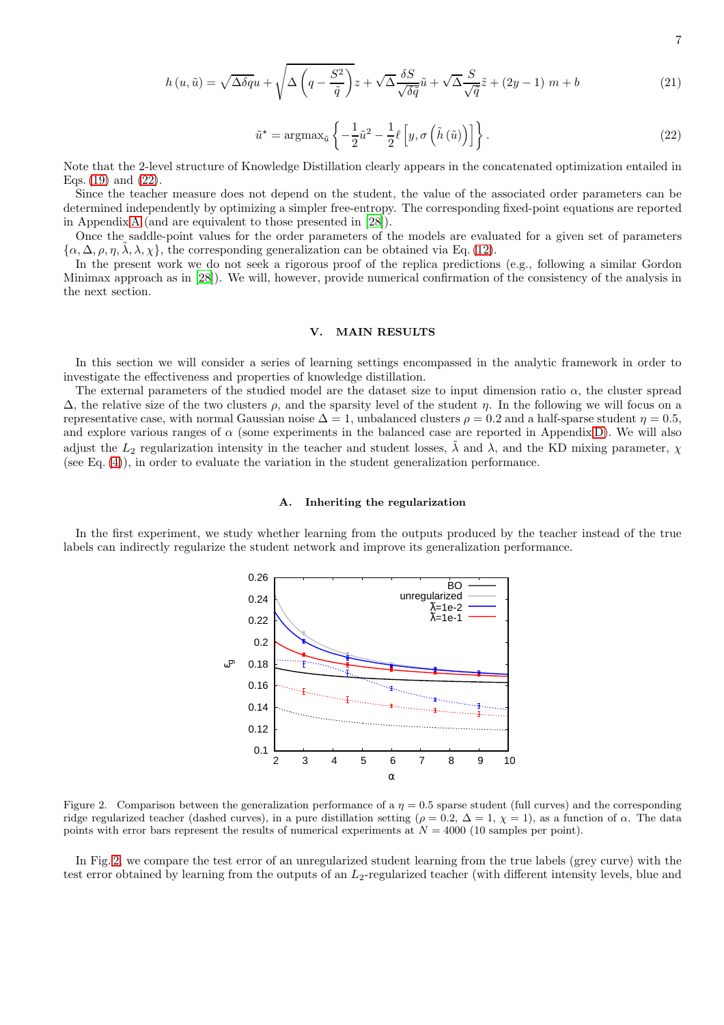$$
h(u, \tilde{u}) = \sqrt{\Delta \delta q} u + \sqrt{\Delta \left( q - \frac{S^2}{\tilde{q}} \right)} z + \sqrt{\Delta} \frac{\delta S}{\sqrt{\delta \tilde{q}}} \tilde{u} + \sqrt{\Delta} \frac{S}{\sqrt{\tilde{q}}} \tilde{z} + (2y - 1) m + b \tag{21}
$$

<span id="page-6-1"></span>
$$
\tilde{u}^* = \operatorname{argmax}_{\tilde{u}} \left\{ -\frac{1}{2} \tilde{u}^2 - \frac{1}{2} \ell \left[ y, \sigma \left( \tilde{h} \left( \tilde{u} \right) \right) \right] \right\}.
$$
\n(22)

Note that the 2-level structure of Knowledge Distillation clearly appears in the concatenated optimization entailed in Eqs.  $(19)$  and  $(22)$ .

Since the teacher measure does not depend on the student, the value of the associated order parameters can be determined independently by optimizing a simpler free-entropy. The corresponding fixed-point equations are reported in Appendix [A](#page-13-0) (and are equivalent to those presented in [\[28\]](#page-11-16)).

Once the saddle-point values for the order parameters of the models are evaluated for a given set of parameters  $\{\alpha, \Delta, \rho, \eta, \lambda, \lambda, \chi\}$ , the corresponding generalization can be obtained via Eq. [\(12\)](#page-3-2).

In the present work we do not seek a rigorous proof of the replica predictions (e.g., following a similar Gordon Minimax approach as in [\[28](#page-11-16)]). We will, however, provide numerical confirmation of the consistency of the analysis in the next section.

### <span id="page-6-0"></span>V. MAIN RESULTS

In this section we will consider a series of learning settings encompassed in the analytic framework in order to investigate the effectiveness and properties of knowledge distillation.

The external parameters of the studied model are the dataset size to input dimension ratio  $\alpha$ , the cluster spread  $\Delta$ , the relative size of the two clusters  $\rho$ , and the sparsity level of the student  $\eta$ . In the following we will focus on a representative case, with normal Gaussian noise  $\Delta = 1$ , unbalanced clusters  $\rho = 0.2$  and a half-sparse student  $\eta = 0.5$ , and explore various ranges of  $\alpha$  (some experiments in the balanced case are reported in Appendix [D\)](#page-27-0). We will also adjust the  $L_2$  regularization intensity in the teacher and student losses,  $\tilde{\lambda}$  and  $\lambda$ , and the KD mixing parameter,  $\chi$ (see Eq. [\(4\)](#page-1-0)), in order to evaluate the variation in the student generalization performance.

### A. Inheriting the regularization

In the first experiment, we study whether learning from the outputs produced by the teacher instead of the true labels can indirectly regularize the student network and improve its generalization performance.



<span id="page-6-2"></span>Figure 2. Comparison between the generalization performance of a  $\eta = 0.5$  sparse student (full curves) and the corresponding ridge regularized teacher (dashed curves), in a pure distillation setting ( $\rho = 0.2$ ,  $\Delta = 1$ ,  $\chi = 1$ ), as a function of  $\alpha$ . The data points with error bars represent the results of numerical experiments at  $N = 4000$  (10 samples per point).

In Fig. [2,](#page-6-2) we compare the test error of an unregularized student learning from the true labels (grey curve) with the test error obtained by learning from the outputs of an  $L_2$ -regularized teacher (with different intensity levels, blue and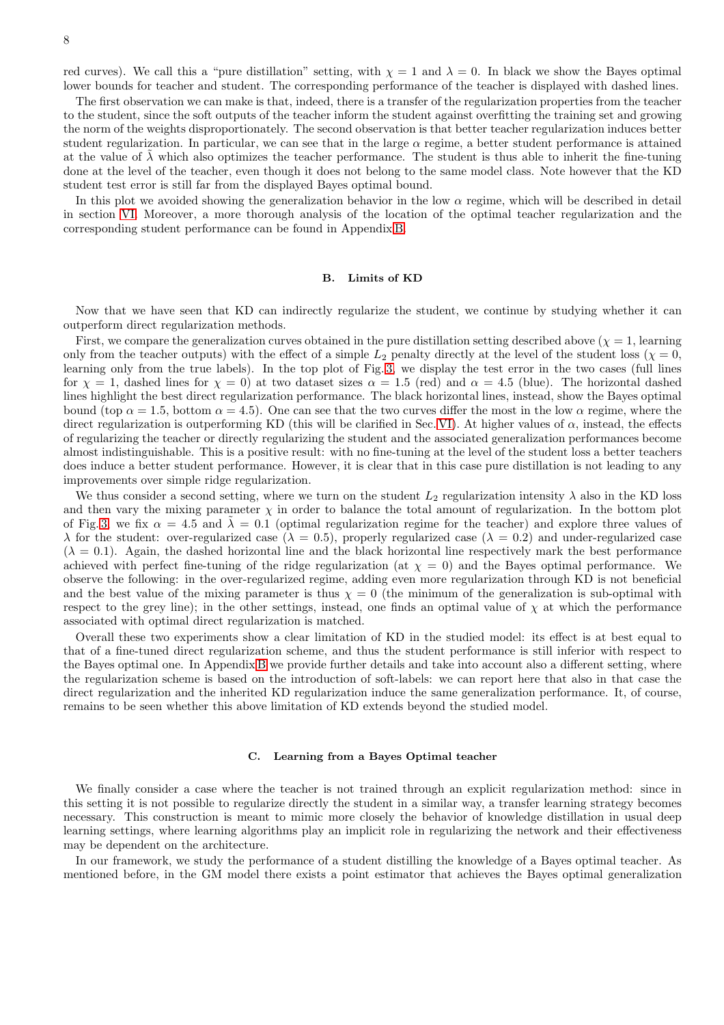red curves). We call this a "pure distillation" setting, with  $\chi = 1$  and  $\lambda = 0$ . In black we show the Bayes optimal lower bounds for teacher and student. The corresponding performance of the teacher is displayed with dashed lines.

The first observation we can make is that, indeed, there is a transfer of the regularization properties from the teacher to the student, since the soft outputs of the teacher inform the student against overfitting the training set and growing the norm of the weights disproportionately. The second observation is that better teacher regularization induces better student regularization. In particular, we can see that in the large  $\alpha$  regime, a better student performance is attained at the value of  $\lambda$  which also optimizes the teacher performance. The student is thus able to inherit the fine-tuning done at the level of the teacher, even though it does not belong to the same model class. Note however that the KD student test error is still far from the displayed Bayes optimal bound.

In this plot we avoided showing the generalization behavior in the low  $\alpha$  regime, which will be described in detail in section [VI.](#page-9-0) Moreover, a more thorough analysis of the location of the optimal teacher regularization and the corresponding student performance can be found in Appendix [B.](#page-23-0)

### B. Limits of KD

Now that we have seen that KD can indirectly regularize the student, we continue by studying whether it can outperform direct regularization methods.

First, we compare the generalization curves obtained in the pure distillation setting described above ( $\chi = 1$ , learning only from the teacher outputs) with the effect of a simple  $L_2$  penalty directly at the level of the student loss ( $\chi = 0$ , learning only from the true labels). In the top plot of Fig. [3,](#page-8-0) we display the test error in the two cases (full lines for  $\chi = 1$ , dashed lines for  $\chi = 0$ ) at two dataset sizes  $\alpha = 1.5$  (red) and  $\alpha = 4.5$  (blue). The horizontal dashed lines highlight the best direct regularization performance. The black horizontal lines, instead, show the Bayes optimal bound (top  $\alpha = 1.5$ , bottom  $\alpha = 4.5$ ). One can see that the two curves differ the most in the low  $\alpha$  regime, where the direct regularization is outperforming KD (this will be clarified in Sec. [VI\)](#page-9-0). At higher values of  $\alpha$ , instead, the effects of regularizing the teacher or directly regularizing the student and the associated generalization performances become almost indistinguishable. This is a positive result: with no fine-tuning at the level of the student loss a better teachers does induce a better student performance. However, it is clear that in this case pure distillation is not leading to any improvements over simple ridge regularization.

We thus consider a second setting, where we turn on the student  $L_2$  regularization intensity  $\lambda$  also in the KD loss and then vary the mixing parameter  $\chi$  in order to balance the total amount of regularization. In the bottom plot of Fig. [3,](#page-8-0) we fix  $\alpha = 4.5$  and  $\lambda = 0.1$  (optimal regularization regime for the teacher) and explore three values of  $\lambda$  for the student: over-regularized case ( $\lambda = 0.5$ ), properly regularized case ( $\lambda = 0.2$ ) and under-regularized case  $(\lambda = 0.1)$ . Again, the dashed horizontal line and the black horizontal line respectively mark the best performance achieved with perfect fine-tuning of the ridge regularization (at  $\chi = 0$ ) and the Bayes optimal performance. We observe the following: in the over-regularized regime, adding even more regularization through KD is not beneficial and the best value of the mixing parameter is thus  $\chi = 0$  (the minimum of the generalization is sub-optimal with respect to the grey line); in the other settings, instead, one finds an optimal value of  $\chi$  at which the performance associated with optimal direct regularization is matched.

Overall these two experiments show a clear limitation of KD in the studied model: its effect is at best equal to that of a fine-tuned direct regularization scheme, and thus the student performance is still inferior with respect to the Bayes optimal one. In Appendix [B](#page-23-0) we provide further details and take into account also a different setting, where the regularization scheme is based on the introduction of soft-labels: we can report here that also in that case the direct regularization and the inherited KD regularization induce the same generalization performance. It, of course, remains to be seen whether this above limitation of KD extends beyond the studied model.

#### C. Learning from a Bayes Optimal teacher

We finally consider a case where the teacher is not trained through an explicit regularization method: since in this setting it is not possible to regularize directly the student in a similar way, a transfer learning strategy becomes necessary. This construction is meant to mimic more closely the behavior of knowledge distillation in usual deep learning settings, where learning algorithms play an implicit role in regularizing the network and their effectiveness may be dependent on the architecture.

In our framework, we study the performance of a student distilling the knowledge of a Bayes optimal teacher. As mentioned before, in the GM model there exists a point estimator that achieves the Bayes optimal generalization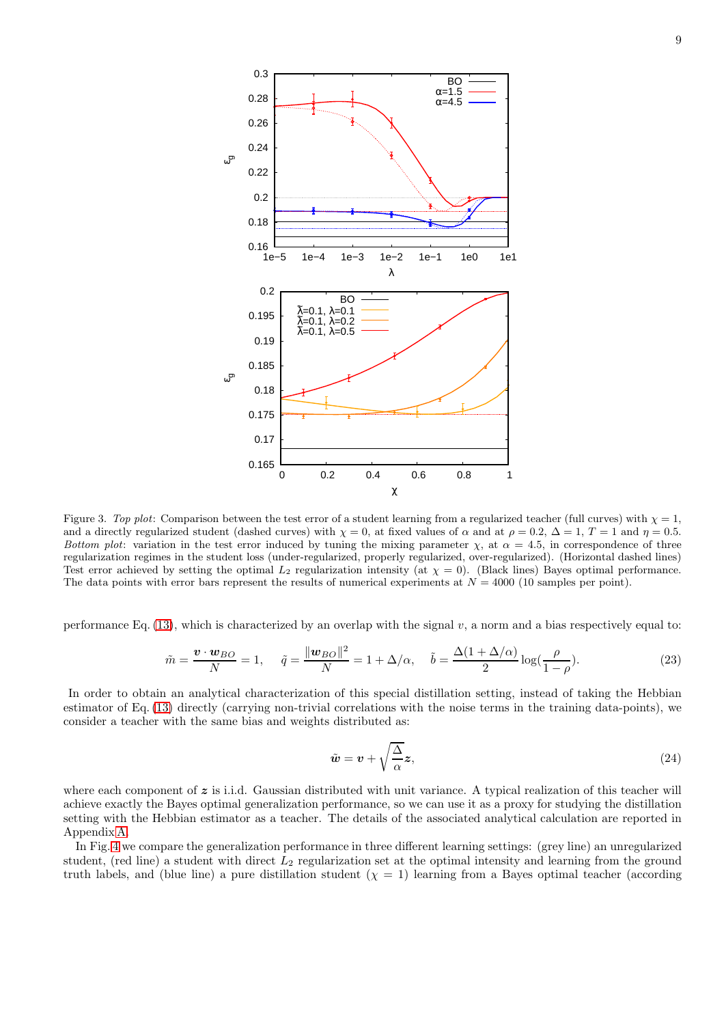

<span id="page-8-0"></span>Figure 3. *Top plot*: Comparison between the test error of a student learning from a regularized teacher (full curves) with  $\chi = 1$ , and a directly regularized student (dashed curves) with  $\chi = 0$ , at fixed values of  $\alpha$  and at  $\rho = 0.2$ ,  $\Delta = 1$ ,  $T = 1$  and  $\eta = 0.5$ . *Bottom plot*: variation in the test error induced by tuning the mixing parameter  $\chi$ , at  $\alpha = 4.5$ , in correspondence of three regularization regimes in the student loss (under-regularized, properly regularized, over-regularized). (Horizontal dashed lines) Test error achieved by setting the optimal  $L_2$  regularization intensity (at  $\chi = 0$ ). (Black lines) Bayes optimal performance. The data points with error bars represent the results of numerical experiments at  $N = 4000$  (10 samples per point).

performance Eq. [\(13\)](#page-3-1), which is characterized by an overlap with the signal  $v$ , a norm and a bias respectively equal to:

$$
\tilde{m} = \frac{\boldsymbol{v} \cdot \boldsymbol{w}_{BO}}{N} = 1, \quad \tilde{q} = \frac{\|\boldsymbol{w}_{BO}\|^2}{N} = 1 + \Delta/\alpha, \quad \tilde{b} = \frac{\Delta(1 + \Delta/\alpha)}{2} \log(\frac{\rho}{1 - \rho}).
$$
\n(23)

In order to obtain an analytical characterization of this special distillation setting, instead of taking the Hebbian estimator of Eq. [\(13\)](#page-3-1) directly (carrying non-trivial correlations with the noise terms in the training data-points), we consider a teacher with the same bias and weights distributed as:

$$
\tilde{\boldsymbol{w}} = \boldsymbol{v} + \sqrt{\frac{\Delta}{\alpha}} \boldsymbol{z},\tag{24}
$$

where each component of  $z$  is i.i.d. Gaussian distributed with unit variance. A typical realization of this teacher will achieve exactly the Bayes optimal generalization performance, so we can use it as a proxy for studying the distillation setting with the Hebbian estimator as a teacher. The details of the associated analytical calculation are reported in Appendix [A.](#page-13-0)

In Fig. [4](#page-9-1) we compare the generalization performance in three different learning settings: (grey line) an unregularized student, (red line) a student with direct  $L_2$  regularization set at the optimal intensity and learning from the ground truth labels, and (blue line) a pure distillation student  $(\chi = 1)$  learning from a Bayes optimal teacher (according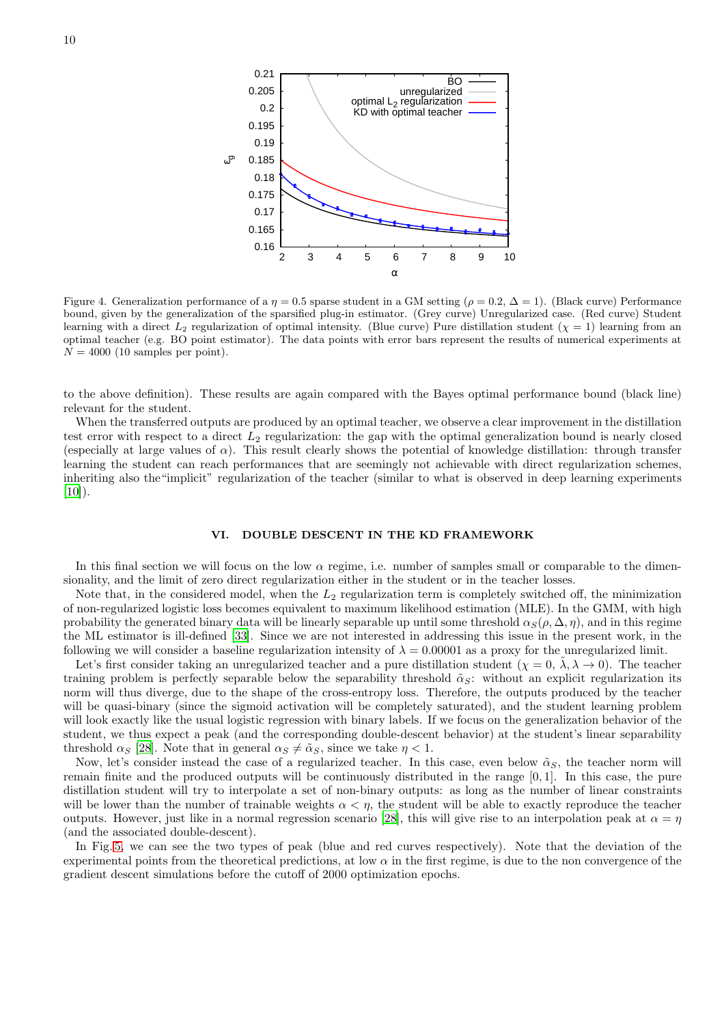

<span id="page-9-1"></span>Figure 4. Generalization performance of a  $\eta = 0.5$  sparse student in a GM setting ( $\rho = 0.2$ ,  $\Delta = 1$ ). (Black curve) Performance bound, given by the generalization of the sparsified plug-in estimator. (Grey curve) Unregularized case. (Red curve) Student learning with a direct  $L_2$  regularization of optimal intensity. (Blue curve) Pure distillation student  $(\chi = 1)$  learning from an optimal teacher (e.g. BO point estimator). The data points with error bars represent the results of numerical experiments at  $N = 4000$  (10 samples per point).

to the above definition). These results are again compared with the Bayes optimal performance bound (black line) relevant for the student.

When the transferred outputs are produced by an optimal teacher, we observe a clear improvement in the distillation test error with respect to a direct  $L_2$  regularization: the gap with the optimal generalization bound is nearly closed (especially at large values of  $\alpha$ ). This result clearly shows the potential of knowledge distillation: through transfer learning the student can reach performances that are seemingly not achievable with direct regularization schemes, inheriting also the"implicit" regularization of the teacher (similar to what is observed in deep learning experiments  $[10]$ ).

### <span id="page-9-0"></span>VI. DOUBLE DESCENT IN THE KD FRAMEWORK

In this final section we will focus on the low  $\alpha$  regime, i.e. number of samples small or comparable to the dimensionality, and the limit of zero direct regularization either in the student or in the teacher losses.

Note that, in the considered model, when the  $L_2$  regularization term is completely switched off, the minimization of non-regularized logistic loss becomes equivalent to maximum likelihood estimation (MLE). In the GMM, with high probability the generated binary data will be linearly separable up until some threshold  $\alpha_S(\rho, \Delta, \eta)$ , and in this regime the ML estimator is ill-defined [\[33\]](#page-12-8). Since we are not interested in addressing this issue in the present work, in the following we will consider a baseline regularization intensity of  $\lambda = 0.00001$  as a proxy for the unregularized limit.

Let's first consider taking an unregularized teacher and a pure distillation student  $(\chi = 0, \lambda, \lambda \to 0)$ . The teacher training problem is perfectly separable below the separability threshold  $\tilde{\alpha}_S$ : without an explicit regularization its norm will thus diverge, due to the shape of the cross-entropy loss. Therefore, the outputs produced by the teacher will be quasi-binary (since the sigmoid activation will be completely saturated), and the student learning problem will look exactly like the usual logistic regression with binary labels. If we focus on the generalization behavior of the student, we thus expect a peak (and the corresponding double-descent behavior) at the student's linear separability threshold  $\alpha_S$  [\[28](#page-11-16)]. Note that in general  $\alpha_S \neq \tilde{\alpha}_S$ , since we take  $\eta < 1$ .

Now, let's consider instead the case of a regularized teacher. In this case, even below  $\tilde{\alpha}_S$ , the teacher norm will remain finite and the produced outputs will be continuously distributed in the range [0, 1]. In this case, the pure distillation student will try to interpolate a set of non-binary outputs: as long as the number of linear constraints will be lower than the number of trainable weights  $\alpha < \eta$ , the student will be able to exactly reproduce the teacher outputs. However, just like in a normal regression scenario [\[28\]](#page-11-16), this will give rise to an interpolation peak at  $\alpha = \eta$ (and the associated double-descent).

In Fig. [5,](#page-10-1) we can see the two types of peak (blue and red curves respectively). Note that the deviation of the experimental points from the theoretical predictions, at low  $\alpha$  in the first regime, is due to the non convergence of the gradient descent simulations before the cutoff of 2000 optimization epochs.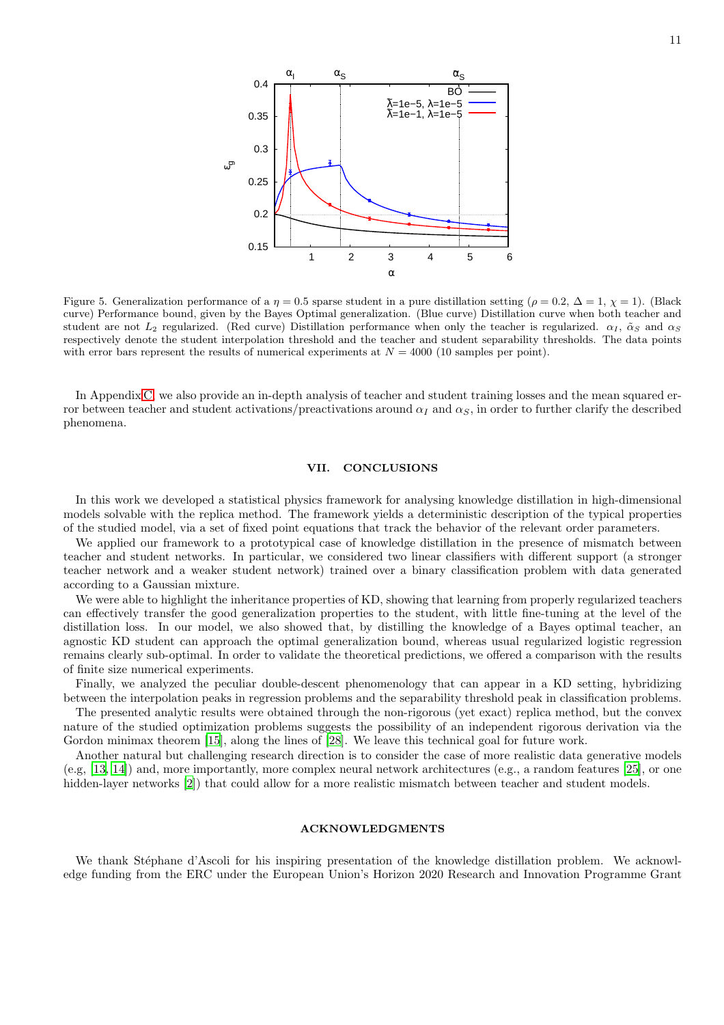

<span id="page-10-1"></span>Figure 5. Generalization performance of a  $\eta = 0.5$  sparse student in a pure distillation setting ( $\rho = 0.2$ ,  $\Delta = 1$ ,  $\chi = 1$ ). (Black curve) Performance bound, given by the Bayes Optimal generalization. (Blue curve) Distillation curve when both teacher and student are not  $L_2$  regularized. (Red curve) Distillation performance when only the teacher is regularized.  $\alpha_I$ ,  $\tilde{\alpha}_S$  and  $\alpha_S$ respectively denote the student interpolation threshold and the teacher and student separability thresholds. The data points with error bars represent the results of numerical experiments at  $N = 4000$  (10 samples per point).

In Appendix [C,](#page-26-0) we also provide an in-depth analysis of teacher and student training losses and the mean squared error between teacher and student activations/preactivations around  $\alpha_I$  and  $\alpha_S$ , in order to further clarify the described phenomena.

# <span id="page-10-0"></span>VII. CONCLUSIONS

In this work we developed a statistical physics framework for analysing knowledge distillation in high-dimensional models solvable with the replica method. The framework yields a deterministic description of the typical properties of the studied model, via a set of fixed point equations that track the behavior of the relevant order parameters.

We applied our framework to a prototypical case of knowledge distillation in the presence of mismatch between teacher and student networks. In particular, we considered two linear classifiers with different support (a stronger teacher network and a weaker student network) trained over a binary classification problem with data generated according to a Gaussian mixture.

We were able to highlight the inheritance properties of KD, showing that learning from properly regularized teachers can effectively transfer the good generalization properties to the student, with little fine-tuning at the level of the distillation loss. In our model, we also showed that, by distilling the knowledge of a Bayes optimal teacher, an agnostic KD student can approach the optimal generalization bound, whereas usual regularized logistic regression remains clearly sub-optimal. In order to validate the theoretical predictions, we offered a comparison with the results of finite size numerical experiments.

Finally, we analyzed the peculiar double-descent phenomenology that can appear in a KD setting, hybridizing between the interpolation peaks in regression problems and the separability threshold peak in classification problems.

The presented analytic results were obtained through the non-rigorous (yet exact) replica method, but the convex nature of the studied optimization problems suggests the possibility of an independent rigorous derivation via the Gordon minimax theorem [\[15\]](#page-11-18), along the lines of [\[28](#page-11-16)]. We leave this technical goal for future work.

Another natural but challenging research direction is to consider the case of more realistic data generative models (e.g, [\[13,](#page-11-19) [14\]](#page-11-20)) and, more importantly, more complex neural network architectures (e.g., a random features [\[25\]](#page-11-21), or one hidden-layer networks [\[2\]](#page-11-14)) that could allow for a more realistic mismatch between teacher and student models.

#### ACKNOWLEDGMENTS

We thank Stéphane d'Ascoli for his inspiring presentation of the knowledge distillation problem. We acknowledge funding from the ERC under the European Union's Horizon 2020 Research and Innovation Programme Grant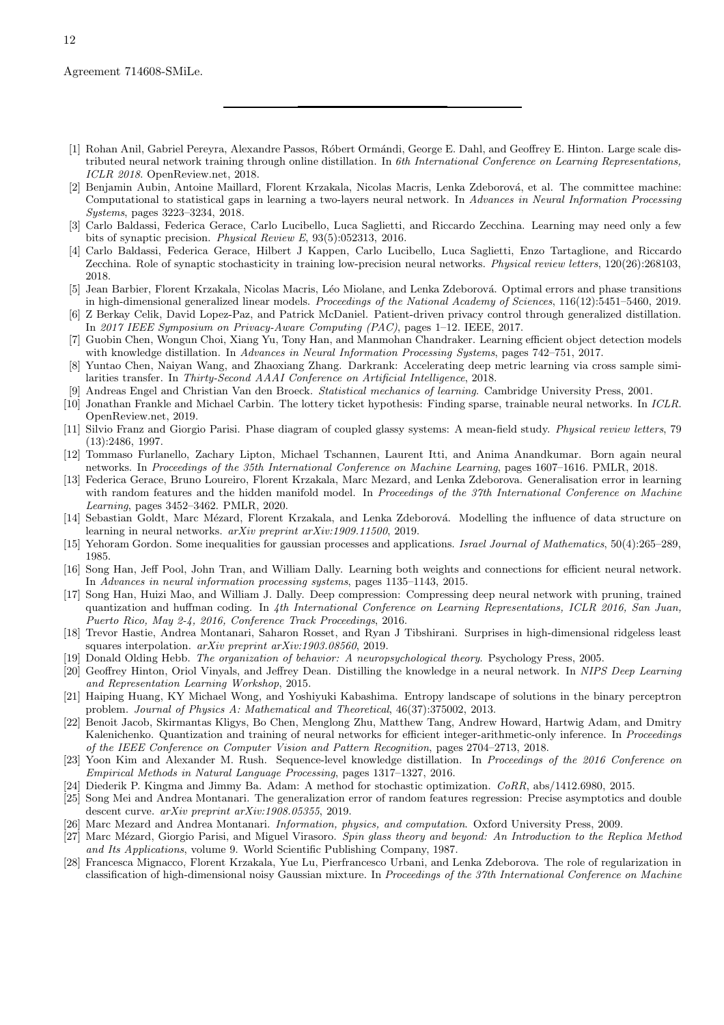- <span id="page-11-5"></span>[1] Rohan Anil, Gabriel Pereyra, Alexandre Passos, Róbert Ormándi, George E. Dahl, and Geoffrey E. Hinton. Large scale distributed neural network training through online distillation. In *6th International Conference on Learning Representations, ICLR 2018*. OpenReview.net, 2018.
- <span id="page-11-14"></span>[2] Benjamin Aubin, Antoine Maillard, Florent Krzakala, Nicolas Macris, Lenka Zdeborová, et al. The committee machine: Computational to statistical gaps in learning a two-layers neural network. In *Advances in Neural Information Processing Systems*, pages 3223–3234, 2018.
- <span id="page-11-23"></span>[3] Carlo Baldassi, Federica Gerace, Carlo Lucibello, Luca Saglietti, and Riccardo Zecchina. Learning may need only a few bits of synaptic precision. *Physical Review E*, 93(5):052313, 2016.
- <span id="page-11-24"></span>[4] Carlo Baldassi, Federica Gerace, Hilbert J Kappen, Carlo Lucibello, Luca Saglietti, Enzo Tartaglione, and Riccardo Zecchina. Role of synaptic stochasticity in training low-precision neural networks. *Physical review letters*, 120(26):268103, 2018.
- <span id="page-11-15"></span>[5] Jean Barbier, Florent Krzakala, Nicolas Macris, Léo Miolane, and Lenka Zdeborová. Optimal errors and phase transitions in high-dimensional generalized linear models. *Proceedings of the National Academy of Sciences*, 116(12):5451–5460, 2019.
- <span id="page-11-9"></span>[6] Z Berkay Celik, David Lopez-Paz, and Patrick McDaniel. Patient-driven privacy control through generalized distillation. In *2017 IEEE Symposium on Privacy-Aware Computing (PAC)*, pages 1–12. IEEE, 2017.
- <span id="page-11-6"></span>[7] Guobin Chen, Wongun Choi, Xiang Yu, Tony Han, and Manmohan Chandraker. Learning efficient object detection models with knowledge distillation. In *Advances in Neural Information Processing Systems*, pages 742–751, 2017.
- <span id="page-11-7"></span>[8] Yuntao Chen, Naiyan Wang, and Zhaoxiang Zhang. Darkrank: Accelerating deep metric learning via cross sample similarities transfer. In *Thirty-Second AAAI Conference on Artificial Intelligence*, 2018.
- <span id="page-11-22"></span>[9] Andreas Engel and Christian Van den Broeck. *Statistical mechanics of learning*. Cambridge University Press, 2001.
- <span id="page-11-0"></span>[10] Jonathan Frankle and Michael Carbin. The lottery ticket hypothesis: Finding sparse, trainable neural networks. In *ICLR*. OpenReview.net, 2019.
- <span id="page-11-13"></span>[11] Silvio Franz and Giorgio Parisi. Phase diagram of coupled glassy systems: A mean-field study. *Physical review letters*, 79 (13):2486, 1997.
- <span id="page-11-10"></span>[12] Tommaso Furlanello, Zachary Lipton, Michael Tschannen, Laurent Itti, and Anima Anandkumar. Born again neural networks. In *Proceedings of the 35th International Conference on Machine Learning*, pages 1607–1616. PMLR, 2018.
- <span id="page-11-19"></span>[13] Federica Gerace, Bruno Loureiro, Florent Krzakala, Marc Mezard, and Lenka Zdeborova. Generalisation error in learning with random features and the hidden manifold model. In *Proceedings of the 37th International Conference on Machine Learning*, pages 3452–3462. PMLR, 2020.
- <span id="page-11-20"></span>[14] Sebastian Goldt, Marc Mézard, Florent Krzakala, and Lenka Zdeborová. Modelling the influence of data structure on learning in neural networks. *arXiv preprint arXiv:1909.11500*, 2019.
- <span id="page-11-18"></span>[15] Yehoram Gordon. Some inequalities for gaussian processes and applications. *Israel Journal of Mathematics*, 50(4):265–289, 1985.
- <span id="page-11-1"></span>[16] Song Han, Jeff Pool, John Tran, and William Dally. Learning both weights and connections for efficient neural network. In *Advances in neural information processing systems*, pages 1135–1143, 2015.
- <span id="page-11-2"></span>[17] Song Han, Huizi Mao, and William J. Dally. Deep compression: Compressing deep neural network with pruning, trained quantization and huffman coding. In *4th International Conference on Learning Representations, ICLR 2016, San Juan, Puerto Rico, May 2-4, 2016, Conference Track Proceedings*, 2016.
- <span id="page-11-26"></span>[18] Trevor Hastie, Andrea Montanari, Saharon Rosset, and Ryan J Tibshirani. Surprises in high-dimensional ridgeless least squares interpolation. *arXiv preprint arXiv:1903.08560*, 2019.
- <span id="page-11-17"></span>[19] Donald Olding Hebb. *The organization of behavior: A neuropsychological theory*. Psychology Press, 2005.
- <span id="page-11-4"></span>[20] Geoffrey Hinton, Oriol Vinyals, and Jeffrey Dean. Distilling the knowledge in a neural network. In *NIPS Deep Learning and Representation Learning Workshop*, 2015.
- <span id="page-11-25"></span>[21] Haiping Huang, KY Michael Wong, and Yoshiyuki Kabashima. Entropy landscape of solutions in the binary perceptron problem. *Journal of Physics A: Mathematical and Theoretical*, 46(37):375002, 2013.
- <span id="page-11-3"></span>[22] Benoit Jacob, Skirmantas Kligys, Bo Chen, Menglong Zhu, Matthew Tang, Andrew Howard, Hartwig Adam, and Dmitry Kalenichenko. Quantization and training of neural networks for efficient integer-arithmetic-only inference. In *Proceedings of the IEEE Conference on Computer Vision and Pattern Recognition*, pages 2704–2713, 2018.
- <span id="page-11-8"></span>[23] Yoon Kim and Alexander M. Rush. Sequence-level knowledge distillation. In *Proceedings of the 2016 Conference on Empirical Methods in Natural Language Processing*, pages 1317–1327, 2016.
- <span id="page-11-27"></span>[24] Diederik P. Kingma and Jimmy Ba. Adam: A method for stochastic optimization. *CoRR*, abs/1412.6980, 2015.
- <span id="page-11-21"></span>[25] Song Mei and Andrea Montanari. The generalization error of random features regression: Precise asymptotics and double descent curve. *arXiv preprint arXiv:1908.05355*, 2019.
- <span id="page-11-11"></span>[26] Marc Mezard and Andrea Montanari. *Information, physics, and computation*. Oxford University Press, 2009.
- <span id="page-11-12"></span>[27] Marc M´ezard, Giorgio Parisi, and Miguel Virasoro. *Spin glass theory and beyond: An Introduction to the Replica Method and Its Applications*, volume 9. World Scientific Publishing Company, 1987.
- <span id="page-11-16"></span>[28] Francesca Mignacco, Florent Krzakala, Yue Lu, Pierfrancesco Urbani, and Lenka Zdeborova. The role of regularization in classification of high-dimensional noisy Gaussian mixture. In *Proceedings of the 37th International Conference on Machine*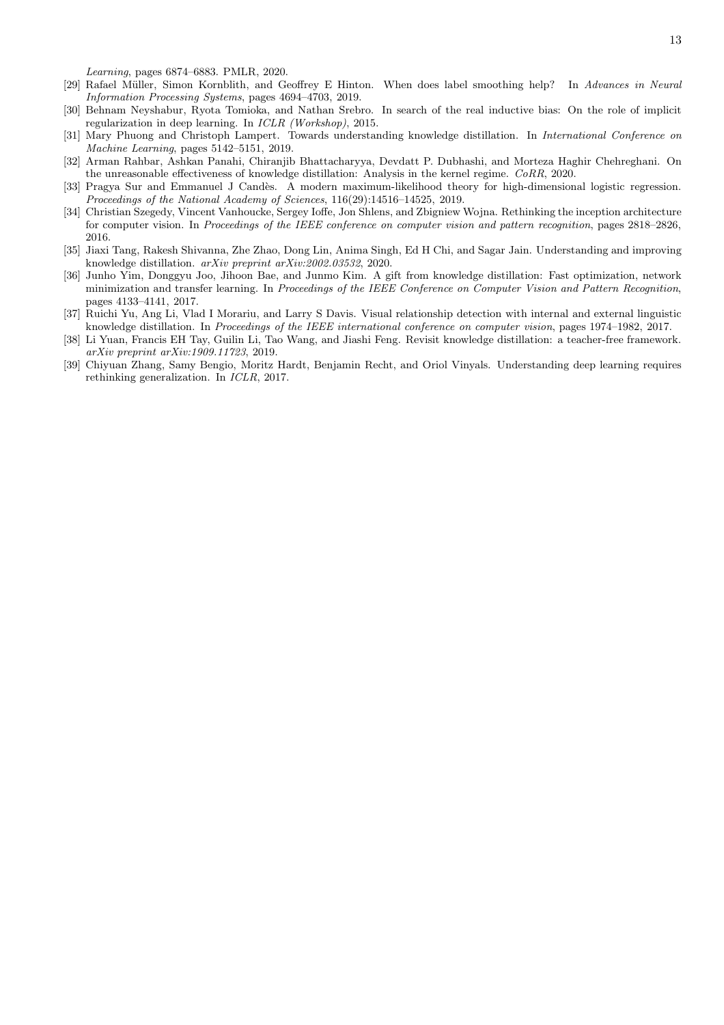*Learning*, pages 6874–6883. PMLR, 2020.

- <span id="page-12-9"></span>[29] Rafael M¨uller, Simon Kornblith, and Geoffrey E Hinton. When does label smoothing help? In *Advances in Neural Information Processing Systems*, pages 4694–4703, 2019.
- <span id="page-12-0"></span>[30] Behnam Neyshabur, Ryota Tomioka, and Nathan Srebro. In search of the real inductive bias: On the role of implicit regularization in deep learning. In *ICLR (Workshop)*, 2015.
- <span id="page-12-5"></span>[31] Mary Phuong and Christoph Lampert. Towards understanding knowledge distillation. In *International Conference on Machine Learning*, pages 5142–5151, 2019.
- <span id="page-12-6"></span>[32] Arman Rahbar, Ashkan Panahi, Chiranjib Bhattacharyya, Devdatt P. Dubhashi, and Morteza Haghir Chehreghani. On the unreasonable effectiveness of knowledge distillation: Analysis in the kernel regime. *CoRR*, 2020.
- <span id="page-12-8"></span>[33] Pragya Sur and Emmanuel J Candès. A modern maximum-likelihood theory for high-dimensional logistic regression. *Proceedings of the National Academy of Sciences*, 116(29):14516–14525, 2019.
- <span id="page-12-10"></span>[34] Christian Szegedy, Vincent Vanhoucke, Sergey Ioffe, Jon Shlens, and Zbigniew Wojna. Rethinking the inception architecture for computer vision. In *Proceedings of the IEEE conference on computer vision and pattern recognition*, pages 2818–2826, 2016.
- <span id="page-12-4"></span>[35] Jiaxi Tang, Rakesh Shivanna, Zhe Zhao, Dong Lin, Anima Singh, Ed H Chi, and Sagar Jain. Understanding and improving knowledge distillation. *arXiv preprint arXiv:2002.03532*, 2020.
- <span id="page-12-2"></span>[36] Junho Yim, Donggyu Joo, Jihoon Bae, and Junmo Kim. A gift from knowledge distillation: Fast optimization, network minimization and transfer learning. In *Proceedings of the IEEE Conference on Computer Vision and Pattern Recognition*, pages 4133–4141, 2017.
- <span id="page-12-3"></span>[37] Ruichi Yu, Ang Li, Vlad I Morariu, and Larry S Davis. Visual relationship detection with internal and external linguistic knowledge distillation. In *Proceedings of the IEEE international conference on computer vision*, pages 1974–1982, 2017.
- <span id="page-12-7"></span>[38] Li Yuan, Francis EH Tay, Guilin Li, Tao Wang, and Jiashi Feng. Revisit knowledge distillation: a teacher-free framework. *arXiv preprint arXiv:1909.11723*, 2019.
- <span id="page-12-1"></span>[39] Chiyuan Zhang, Samy Bengio, Moritz Hardt, Benjamin Recht, and Oriol Vinyals. Understanding deep learning requires rethinking generalization. In *ICLR*, 2017.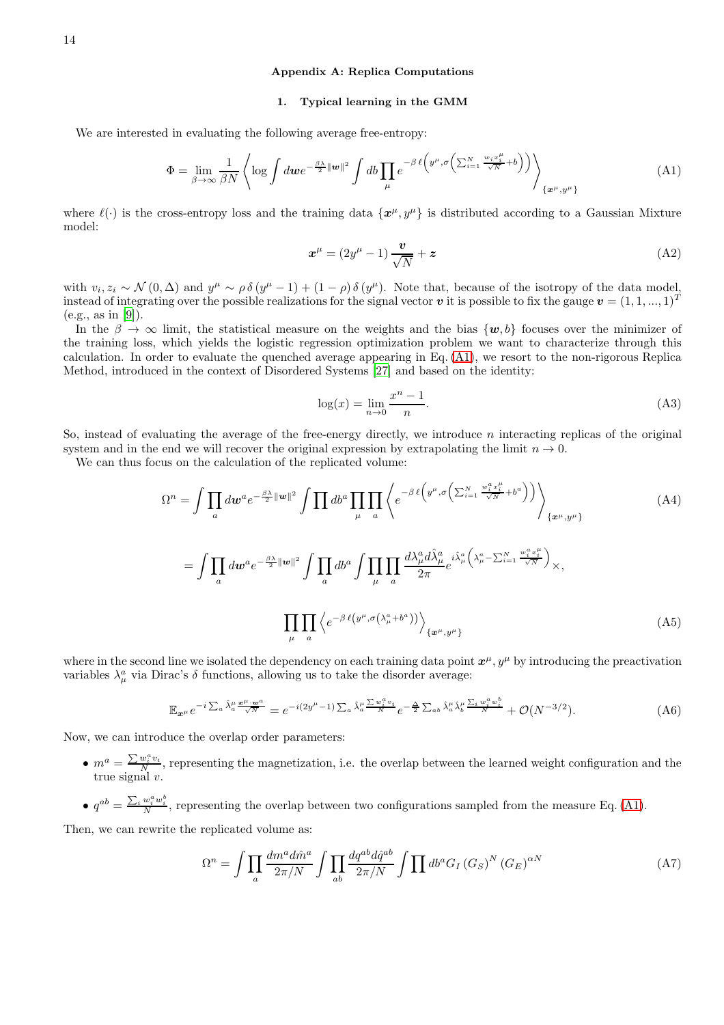# <span id="page-13-0"></span>Appendix A: Replica Computations

### 1. Typical learning in the GMM

We are interested in evaluating the following average free-entropy:

<span id="page-13-1"></span>
$$
\Phi = \lim_{\beta \to \infty} \frac{1}{\beta N} \left\langle \log \int d\boldsymbol{w} e^{-\frac{\beta \lambda}{2} ||\boldsymbol{w}||^2} \int d\boldsymbol{b} \prod_{\mu} e^{-\beta \ell \left(y^{\mu}, \sigma \left(\sum_{i=1}^{N} \frac{w_i x_i^{\mu}}{\sqrt{N}} + b\right)\right)} \right\rangle_{\{\boldsymbol{x}^{\mu}, y^{\mu}\}} \tag{A1}
$$

where  $\ell(\cdot)$  is the cross-entropy loss and the training data  $\{x^{\mu}, y^{\mu}\}\$ is distributed according to a Gaussian Mixture model:

$$
x^{\mu} = (2y^{\mu} - 1)\frac{\boldsymbol{v}}{\sqrt{N}} + z
$$
 (A2)

with  $v_i, z_i \sim \mathcal{N}(0, \Delta)$  and  $y^{\mu} \sim \rho \delta(y^{\mu} - 1) + (1 - \rho) \delta(y^{\mu})$ . Note that, because of the isotropy of the data model, instead of integrating over the possible realizations for the signal vector v it is possible to fix the gauge  $v = (1, 1, ..., 1)^T$ (e.g., as in [\[9\]](#page-11-22)).

In the  $\beta \to \infty$  limit, the statistical measure on the weights and the bias  $\{w, b\}$  focuses over the minimizer of the training loss, which yields the logistic regression optimization problem we want to characterize through this calculation. In order to evaluate the quenched average appearing in Eq. [\(A1\)](#page-13-1), we resort to the non-rigorous Replica Method, introduced in the context of Disordered Systems [\[27\]](#page-11-12) and based on the identity:

$$
\log(x) = \lim_{n \to 0} \frac{x^n - 1}{n}.\tag{A3}
$$

So, instead of evaluating the average of the free-energy directly, we introduce  $n$  interacting replicas of the original system and in the end we will recover the original expression by extrapolating the limit  $n \to 0$ .

We can thus focus on the calculation of the replicated volume:

$$
\Omega^{n} = \int \prod_{a} d\boldsymbol{w}^{a} e^{-\frac{\beta \lambda}{2} ||\boldsymbol{w}||^{2}} \int \prod_{\mu} d b^{a} \prod_{\mu} \prod_{a} \left\langle e^{-\beta \ell \left(y^{\mu}, \sigma \left(\sum_{i=1}^{N} \frac{w_{i}^{a} x_{i}^{\mu}}{\sqrt{N}} + b^{a} \right) \right)} \right\rangle_{\{\boldsymbol{x}^{\mu}, y^{\mu}\}} \tag{A4}
$$
\n
$$
= \int \prod_{a} d\boldsymbol{w}^{a} e^{-\frac{\beta \lambda}{2} ||\boldsymbol{w}||^{2}} \int \prod_{a} d b^{a} \int \prod_{\mu} \prod_{a} \frac{d \lambda_{\mu}^{a} d \hat{\lambda}_{\mu}^{a}}{2 \pi} e^{i \hat{\lambda}_{\mu}^{a} \left(\lambda_{\mu}^{a} - \sum_{i=1}^{N} \frac{w_{i}^{a} x_{i}^{\mu}}{\sqrt{N}}\right)} \times,
$$
\n
$$
\prod_{\mu} \prod_{a} \left\langle e^{-\beta \ell \left(y^{\mu}, \sigma \left(\lambda_{\mu}^{a} + b^{a} \right)\right)} \right\rangle_{\{\boldsymbol{x}^{\mu}, y^{\mu}\}} \tag{A5}
$$

where in the second line we isolated the dependency on each training data point  $x^{\mu}$ ,  $y^{\mu}$  by introducing the preactivation variables  $\lambda^a_\mu$  via Dirac's  $\delta$  functions, allowing us to take the disorder average:

$$
\mathbb{E}_{\mathbf{x}^{\mu}} e^{-i \sum_{a} \hat{\lambda}_{a}^{\mu} \frac{\mathbf{x}^{\mu} \cdot \mathbf{w}^{a}}{\sqrt{N}}} = e^{-i(2y^{\mu}-1) \sum_{a} \hat{\lambda}_{a}^{\mu} \frac{\sum w_{i}^{a} v_{i}}{N}} e^{-\frac{\Delta}{2} \sum_{ab} \hat{\lambda}_{a}^{\mu} \hat{\lambda}_{b}^{\mu} \frac{\sum_{i} w_{i}^{a} w_{i}^{b}}{N}} + \mathcal{O}(N^{-3/2}).
$$
\n(A6)

Now, we can introduce the overlap order parameters:

- $m^a = \frac{\sum w_i^a v_i}{N}$ , representing the magnetization, i.e. the overlap between the learned weight configuration and the true signal v.
- $q^{ab} = \frac{\sum_i w_i^a w_i^b}{N}$ , representing the overlap between two configurations sampled from the measure Eq. [\(A1\)](#page-13-1).

Then, we can rewrite the replicated volume as:

$$
\Omega^{n} = \int \prod_{a} \frac{dm^{a} d\hat{m}^{a}}{2\pi/N} \int \prod_{ab} \frac{dq^{ab} d\hat{q}^{ab}}{2\pi/N} \int \prod_{c} db^{a} G_{I} (G_{S})^{N} (G_{E})^{\alpha N}
$$
\n(A7)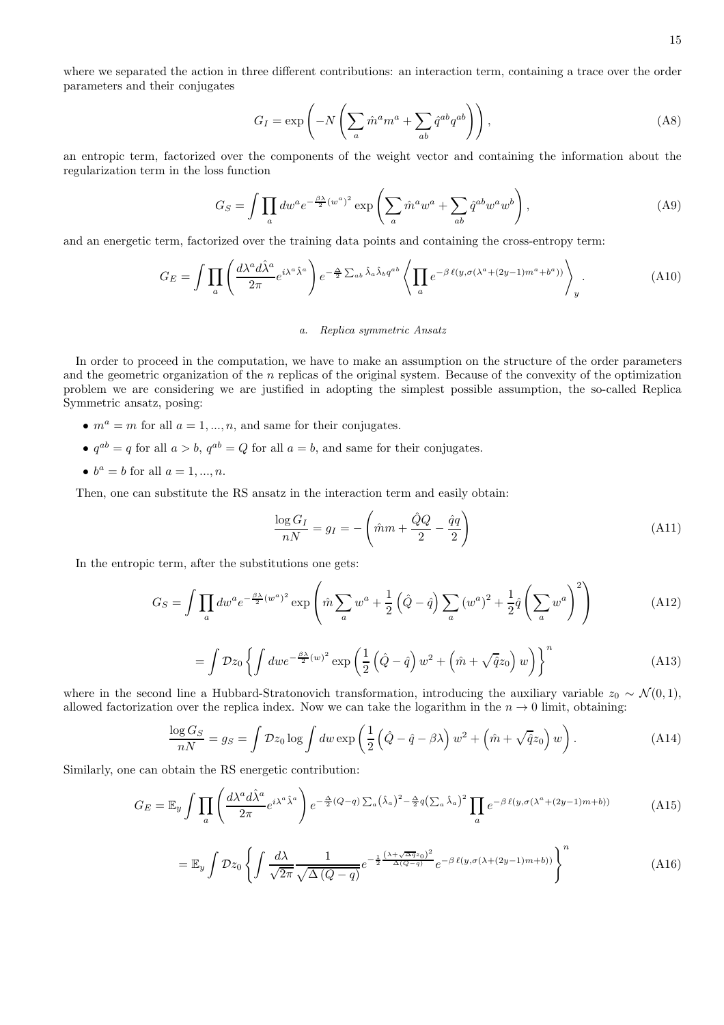where we separated the action in three different contributions: an interaction term, containing a trace over the order parameters and their conjugates

$$
G_I = \exp\left(-N\left(\sum_a \hat{m}^a m^a + \sum_{ab} \hat{q}^{ab} q^{ab}\right)\right),\tag{A8}
$$

an entropic term, factorized over the components of the weight vector and containing the information about the regularization term in the loss function

$$
G_S = \int \prod_a dw^a e^{-\frac{\beta \lambda}{2}(w^a)^2} \exp\left(\sum_a \hat{m}^a w^a + \sum_{ab} \hat{q}^{ab} w^a w^b\right),\tag{A9}
$$

and an energetic term, factorized over the training data points and containing the cross-entropy term:

$$
G_E = \int \prod_a \left( \frac{d\lambda^a d\hat{\lambda}^a}{2\pi} e^{i\lambda^a \hat{\lambda}^a} \right) e^{-\frac{\Delta}{2} \sum_{ab} \hat{\lambda}_a \hat{\lambda}_b q^{ab}} \left\langle \prod_a e^{-\beta \ell(y, \sigma(\lambda^a + (2y-1)m^a + b^a))} \right\rangle_y.
$$
 (A10)

### *a. Replica symmetric Ansatz*

In order to proceed in the computation, we have to make an assumption on the structure of the order parameters and the geometric organization of the  $n$  replicas of the original system. Because of the convexity of the optimization problem we are considering we are justified in adopting the simplest possible assumption, the so-called Replica Symmetric ansatz, posing:

- $m^a = m$  for all  $a = 1, ..., n$ , and same for their conjugates.
- $q^{ab} = q$  for all  $a > b$ ,  $q^{ab} = Q$  for all  $a = b$ , and same for their conjugates.
- $b^a = b$  for all  $a = 1, ..., n$ .

Then, one can substitute the RS ansatz in the interaction term and easily obtain:

$$
\frac{\log G_I}{nN} = g_I = -\left(\hat{m}m + \frac{\hat{Q}Q}{2} - \frac{\hat{q}q}{2}\right)
$$
\n(A11)

In the entropic term, after the substitutions one gets:

$$
G_S = \int \prod_a dw^a e^{-\frac{\beta \lambda}{2}(w^a)^2} \exp\left(\hat{m} \sum_a w^a + \frac{1}{2} \left(\hat{Q} - \hat{q}\right) \sum_a (w^a)^2 + \frac{1}{2} \hat{q} \left(\sum_a w^a\right)^2\right) \tag{A12}
$$

$$
= \int \mathcal{D}z_0 \left\{ \int dw e^{-\frac{\beta \lambda}{2}(w)^2} \exp\left(\frac{1}{2}\left(\hat{Q} - \hat{q}\right)w^2 + \left(\hat{m} + \sqrt{\hat{q}}z_0\right)w\right) \right\}^n \tag{A13}
$$

where in the second line a Hubbard-Stratonovich transformation, introducing the auxiliary variable  $z_0 \sim \mathcal{N}(0, 1)$ , allowed factorization over the replica index. Now we can take the logarithm in the  $n \to 0$  limit, obtaining:

$$
\frac{\log G_S}{nN} = g_S = \int \mathcal{D}z_0 \log \int dw \exp\left(\frac{1}{2}\left(\hat{Q} - \hat{q} - \beta\lambda\right)w^2 + \left(\hat{m} + \sqrt{\hat{q}}z_0\right)w\right). \tag{A14}
$$

Similarly, one can obtain the RS energetic contribution:

$$
G_E = \mathbb{E}_y \int \prod_a \left( \frac{d\lambda^a d\hat{\lambda}^a}{2\pi} e^{i\lambda^a \hat{\lambda}^a} \right) e^{-\frac{\Delta}{2}(Q-q) \sum_a (\hat{\lambda}_a)^2 - \frac{\Delta}{2}q \left(\sum_a \hat{\lambda}_a\right)^2} \prod_a e^{-\beta \ell(y, \sigma(\lambda^a + (2y-1)m + b))}
$$
(A15)

$$
= \mathbb{E}_y \int \mathcal{D}z_0 \left\{ \int \frac{d\lambda}{\sqrt{2\pi}} \frac{1}{\sqrt{\Delta(Q-q)}} e^{-\frac{1}{2} \frac{(\lambda + \sqrt{\Delta q}z_0)^2}{\Delta(Q-q)}} e^{-\beta \ell(y, \sigma(\lambda + (2y-1)m + b))} \right\}^n \tag{A16}
$$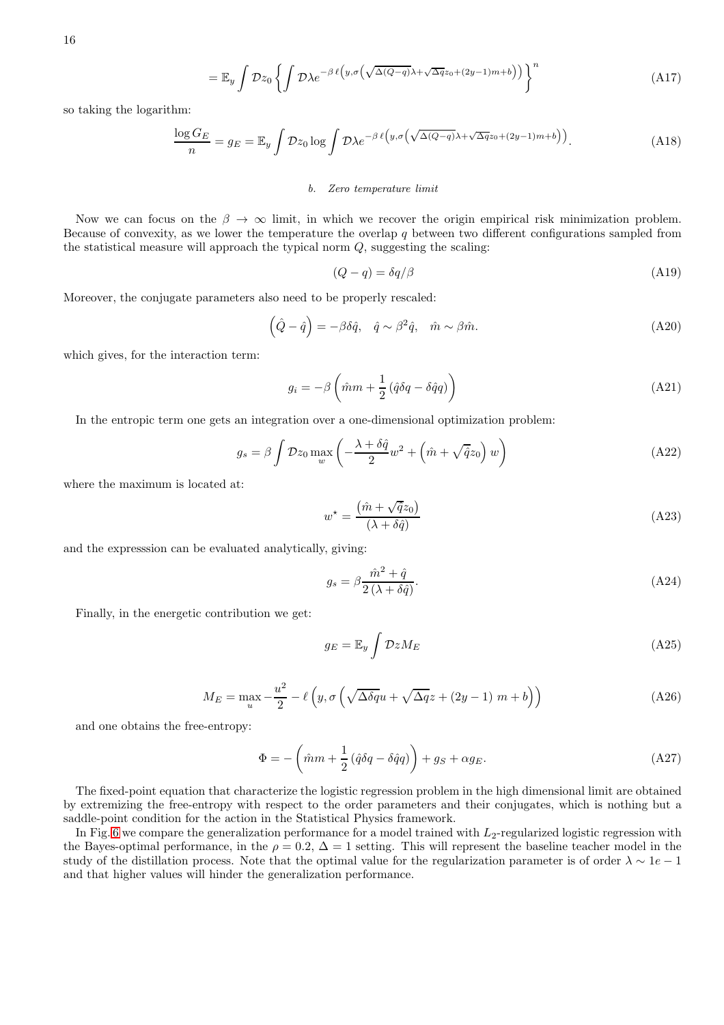$$
= \mathbb{E}_y \int \mathcal{D}z_0 \left\{ \int \mathcal{D}\lambda e^{-\beta \ell \left( y, \sigma \left( \sqrt{\Delta(Q-q)} \lambda + \sqrt{\Delta q} z_0 + (2y-1)m + b \right) \right) } \right\}^n \tag{A17}
$$

so taking the logarithm:

$$
\frac{\log G_E}{n} = g_E = \mathbb{E}_y \int \mathcal{D}z_0 \log \int \mathcal{D}\lambda e^{-\beta \ell \left(y, \sigma \left(\sqrt{\Delta(Q-q)}\lambda + \sqrt{\Delta q}z_0 + (2y-1)m + b\right)\right)}.
$$
\n(A18)

#### *b. Zero temperature limit*

Now we can focus on the  $\beta \to \infty$  limit, in which we recover the origin empirical risk minimization problem. Because of convexity, as we lower the temperature the overlap  $q$  between two different configurations sampled from the statistical measure will approach the typical norm  $Q$ , suggesting the scaling:

$$
(Q - q) = \delta q / \beta \tag{A19}
$$

Moreover, the conjugate parameters also need to be properly rescaled:

$$
\left(\hat{Q} - \hat{q}\right) = -\beta \delta \hat{q}, \quad \hat{q} \sim \beta^2 \hat{q}, \quad \hat{m} \sim \beta \hat{m}.\tag{A20}
$$

which gives, for the interaction term:

$$
g_i = -\beta \left(\hat{m}m + \frac{1}{2} \left(\hat{q}\delta q - \delta \hat{q}q\right)\right) \tag{A21}
$$

In the entropic term one gets an integration over a one-dimensional optimization problem:

$$
g_s = \beta \int \mathcal{D}z_0 \max_w \left( -\frac{\lambda + \delta \hat{q}}{2} w^2 + \left( \hat{m} + \sqrt{\hat{q}} z_0 \right) w \right) \tag{A22}
$$

where the maximum is located at:

<span id="page-15-1"></span>
$$
w^* = \frac{(\hat{m} + \sqrt{\hat{q}}z_0)}{(\lambda + \delta\hat{q})}
$$
(A23)

and the expresssion can be evaluated analytically, giving:

$$
g_s = \beta \frac{\hat{m}^2 + \hat{q}}{2(\lambda + \delta \hat{q})}.\tag{A24}
$$

Finally, in the energetic contribution we get:

$$
g_E = \mathbb{E}_y \int \mathcal{D}z M_E \tag{A25}
$$

$$
M_E = \max_{u} -\frac{u^2}{2} - \ell \left( y, \sigma \left( \sqrt{\Delta \delta q} u + \sqrt{\Delta q} z + (2y - 1) m + b \right) \right)
$$
(A26)

and one obtains the free-entropy:

<span id="page-15-0"></span>
$$
\Phi = -\left(\hat{m}m + \frac{1}{2}\left(\hat{q}\delta q - \delta\hat{q}q\right)\right) + g_S + \alpha g_E. \tag{A27}
$$

The fixed-point equation that characterize the logistic regression problem in the high dimensional limit are obtained by extremizing the free-entropy with respect to the order parameters and their conjugates, which is nothing but a saddle-point condition for the action in the Statistical Physics framework.

In Fig. [6](#page-16-0) we compare the generalization performance for a model trained with  $L_2$ -regularized logistic regression with the Bayes-optimal performance, in the  $\rho = 0.2$ ,  $\Delta = 1$  setting. This will represent the baseline teacher model in the study of the distillation process. Note that the optimal value for the regularization parameter is of order  $\lambda \sim 1e - 1$ and that higher values will hinder the generalization performance.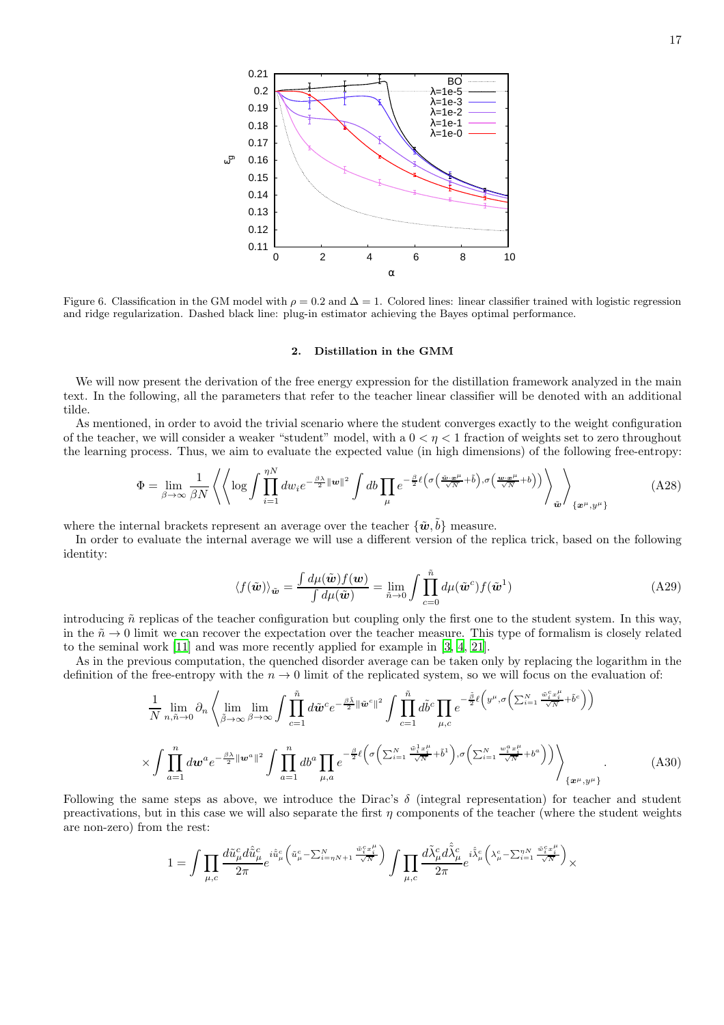0.11 0.12 0.13 0.14 0.15 0.16 0.17 0.18 0.19 0.2 0.21 0 2 4 6 8 10 ε<sup>g</sup> α BO λ=1e-5 λ=1e-3 λ=1e-2 λ=1e-1  $λ=1e-0$ 

<span id="page-16-0"></span>Figure 6. Classification in the GM model with  $\rho = 0.2$  and  $\Delta = 1$ . Colored lines: linear classifier trained with logistic regression and ridge regularization. Dashed black line: plug-in estimator achieving the Bayes optimal performance.

### 2. Distillation in the GMM

We will now present the derivation of the free energy expression for the distillation framework analyzed in the main text. In the following, all the parameters that refer to the teacher linear classifier will be denoted with an additional tilde.

As mentioned, in order to avoid the trivial scenario where the student converges exactly to the weight configuration of the teacher, we will consider a weaker "student" model, with a  $0 < \eta < 1$  fraction of weights set to zero throughout the learning process. Thus, we aim to evaluate the expected value (in high dimensions) of the following free-entropy:

<span id="page-16-1"></span>
$$
\Phi = \lim_{\beta \to \infty} \frac{1}{\beta N} \left\langle \left\langle \log \int \prod_{i=1}^{\eta N} dw_i e^{-\frac{\beta \lambda}{2} ||\boldsymbol{w}||^2} \int db \prod_{\mu} e^{-\frac{\beta}{2} \ell \left( \sigma \left( \frac{\bar{\boldsymbol{w}} \cdot \mathbf{w}^{\mu}}{\sqrt{N}} + \tilde{b} \right), \sigma \left( \frac{\boldsymbol{w} \cdot \mathbf{w}^{\mu}}{\sqrt{N}} + b \right) \right)} \right\rangle_{\tilde{\boldsymbol{w}}} \right\rangle_{\{\boldsymbol{x}^{\mu}, \boldsymbol{y}^{\mu}\}} \tag{A28}
$$

where the internal brackets represent an average over the teacher  $\{\tilde{\boldsymbol{w}}, \tilde{b}\}$  measure.

In order to evaluate the internal average we will use a different version of the replica trick, based on the following identity:

$$
\langle f(\tilde{\boldsymbol{w}}) \rangle_{\tilde{\boldsymbol{w}}} = \frac{\int d\mu(\tilde{\boldsymbol{w}}) f(\boldsymbol{w})}{\int d\mu(\tilde{\boldsymbol{w}})} = \lim_{\tilde{n} \to 0} \int \prod_{c=0}^{\tilde{n}} d\mu(\tilde{\boldsymbol{w}}^c) f(\tilde{\boldsymbol{w}}^1)
$$
(A29)

introducing  $\tilde{n}$  replicas of the teacher configuration but coupling only the first one to the student system. In this way, in the  $n \to 0$  limit we can recover the expectation over the teacher measure. This type of formalism is closely related to the seminal work [\[11\]](#page-11-13) and was more recently applied for example in [\[3](#page-11-23), [4](#page-11-24), [21\]](#page-11-25).

As in the previous computation, the quenched disorder average can be taken only by replacing the logarithm in the definition of the free-entropy with the  $n \to 0$  limit of the replicated system, so we will focus on the evaluation of:

$$
\frac{1}{N} \lim_{n,\tilde{n}\to 0} \partial_n \left\langle \lim_{\tilde{\beta}\to\infty} \lim_{\beta\to\infty} \int \prod_{c=1}^{\tilde{n}} d\tilde{w}^c e^{-\frac{\beta \tilde{\lambda}}{2} ||\tilde{w}^c||^2} \int \prod_{c=1}^{\tilde{n}} d\tilde{b}^c \prod_{\mu,c} e^{-\frac{\tilde{\beta}}{2} \ell \left(y^{\mu}, \sigma \left(\sum_{i=1}^N \frac{\tilde{w}_i^c x_i^{\mu}}{\sqrt{N}} + \tilde{b}^c\right)\right)} \times \int \prod_{a=1}^n d\omega^a e^{-\frac{\beta \lambda}{2} ||\omega^a||^2} \int \prod_{a=1}^n d\tilde{b}^a \prod_{\mu,a} e^{-\frac{\beta}{2} \ell \left(\sigma \left(\sum_{i=1}^N \frac{\tilde{w}_i^1 x_i^{\mu}}{\sqrt{N}} + \tilde{b}^1\right), \sigma \left(\sum_{i=1}^N \frac{w_i^a x_i^{\mu}}{\sqrt{N}} + b^a\right)\right)} \right\} \frac{1}{\left\{x^{\mu}, y^{\mu}\right\}}.
$$
\n(A30)

Following the same steps as above, we introduce the Dirac's  $\delta$  (integral representation) for teacher and student preactivations, but in this case we will also separate the first  $\eta$  components of the teacher (where the student weights are non-zero) from the rest:

$$
1=\int \prod_{\mu,c}\frac{d\tilde{u}^c_\mu d\hat{\tilde{u}}^c_\mu}{2\pi}e^{i\hat{\tilde{u}}^c_\mu\left(\tilde{u}^c_\mu-\sum_{i=\eta N+1}^N \frac{\tilde{w}^c_i x^{\mu}_i}{\sqrt{N}}\right)}\int \prod_{\mu,c}\frac{d\tilde{\lambda}^c_\mu d\hat{\tilde{\lambda}}^c_\mu}{2\pi}e^{i\hat{\tilde{\lambda}}^c_\mu\left(\lambda^c_\mu-\sum_{i=1}^N\frac{\tilde{w}^c_i x^{\mu}_i}{\sqrt{N}}\right)}\times
$$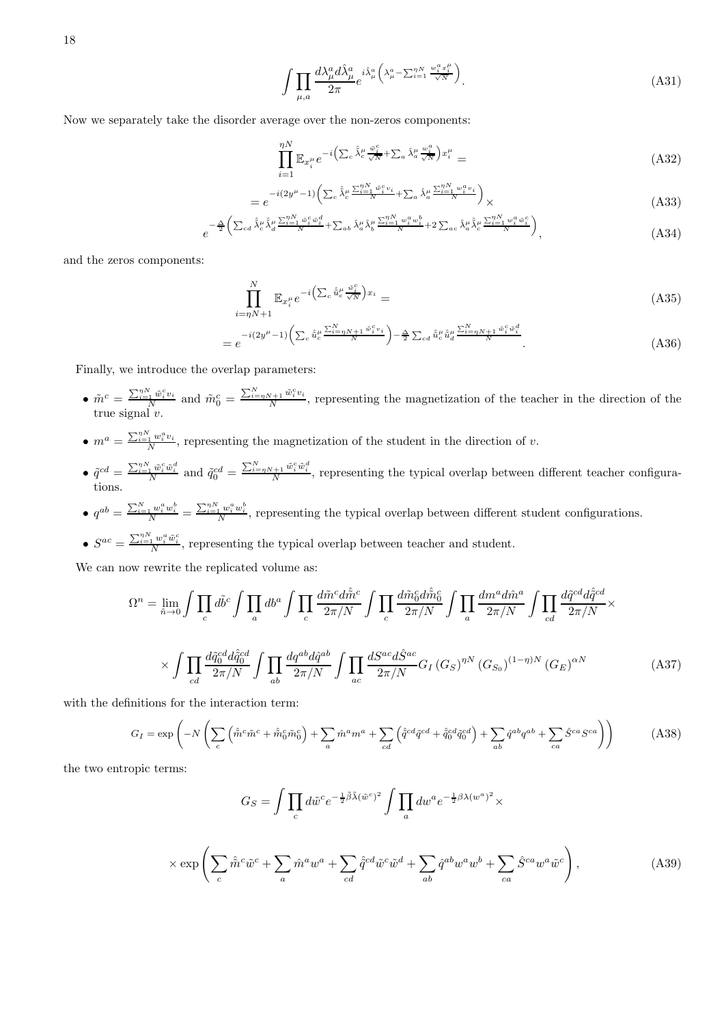$$
18 \\
$$

$$
\int \prod_{\mu,a} \frac{d\lambda^a_\mu d\hat{\lambda}^a_\mu}{2\pi} e^{i\hat{\lambda}^a_\mu \left(\lambda^a_\mu - \sum_{i=1}^{n} \frac{w_i^a x_i^\mu}{\sqrt{N}}\right)}.
$$
\n(A31)

Now we separately take the disorder average over the non-zeros components:

$$
\prod_{i=1}^{\eta N} \mathbb{E}_{x_i^{\mu}} e^{-i \left( \sum_c \hat{\lambda}_c^{\mu} \frac{\tilde{w}_i^c}{\sqrt{N}} + \sum_a \hat{\lambda}_a^{\mu} \frac{w_i^a}{\sqrt{N}} \right) x_i^{\mu}} =
$$
\n(A32)

$$
=e^{-i(2y^{\mu}-1)\left(\sum_{c}\hat{\lambda}_{c}^{\mu}\frac{\sum_{i=1}^{n}w_{i}^{c}v_{i}}{N}+\sum_{a}\hat{\lambda}_{a}^{\mu}\frac{\sum_{i=1}^{n}w_{i}^{a}v_{i}}{N}\right)}\times
$$
(A33)

$$
e^{-\frac{\Delta}{2}\left(\sum_{cd}\hat{\lambda}_{c}^{\mu}\hat{\lambda}_{d}^{\mu}\frac{\sum_{i=1}^{N} \tilde{w}_{i}^{c}\tilde{w}_{i}^{d}}{N}+\sum_{ab}\hat{\lambda}_{a}^{\mu}\hat{\lambda}_{b}^{\mu}\frac{\sum_{i=1}^{N} w_{i}^{a}w_{i}^{b}}{N}+2\sum_{ac}\hat{\lambda}_{a}^{\mu}\hat{\lambda}_{c}^{\mu}\frac{\sum_{i=1}^{N} w_{i}^{a}\tilde{w}_{i}^{c}}{N}\right)},
$$
(A34)

and the zeros components:

$$
\prod_{i=\eta N+1}^{N} \mathbb{E}_{x_i^{\mu}} e^{-i \left( \sum_c \hat{\tilde{u}}_c^{\mu} \frac{\tilde{w}_i^c}{\sqrt{N}} \right) x_i} =
$$
\n(A35)

$$
=e^{-i(2y^{\mu}-1)\left(\sum_{c}\hat{u}_{c}^{\mu}\frac{\sum_{i=\eta N+1}^{N}\bar{w}_{i}^{c}v_{i}}{N}\right)-\frac{\Delta}{2}\sum_{cd}\hat{u}_{c}^{\mu}\hat{u}_{d}^{\mu}\frac{\sum_{i=\eta N+1}^{N}\bar{w}_{i}^{c}\bar{w}_{i}^{d}}{N}}.
$$
(A36)

Finally, we introduce the overlap parameters:

- $\tilde{m}^c = \frac{\sum_{i=1}^{N} \tilde{w}_i^c v_i}{N}$  and  $\tilde{m}_0^c = \frac{\sum_{i=\eta N+1}^{N} \tilde{w}_i^c v_i}{N}$  $\frac{N+1}{N}$ , representing the magnetization of the teacher in the direction of the true signal v.
- $\bullet$   $m^a = \frac{\sum_{i=1}^{n_N} w_i^a v_i}{N}$  $\frac{1}{N}^{u_i v_i}$ , representing the magnetization of the student in the direction of v.
- $\hat{q}^{cd} = \frac{\sum_{i=1}^{n} \tilde{w}_i^c \tilde{w}_i^d}{N}$  and  $\tilde{q}_0^{cd} = \frac{\sum_{i=nN+1}^{N} \tilde{w}_i^c \tilde{w}_i^d}{N}$ , representing the typical overlap between different teacher configurations.
- $\bullet$   $q^{ab} = \frac{\sum_{i=1}^{N} w_i^a w_i^b}{N} = \frac{\sum_{i=1}^{N} w_i^a w_i^b}{N}$ , representing the typical overlap between different student configurations.
- $S^{ac} = \frac{\sum_{i=1}^{n} w_i^a \tilde{w}_i^c}{N}$ , representing the typical overlap between teacher and student.

We can now rewrite the replicated volume as:

$$
\Omega^{n} = \lim_{\tilde{n}\to 0} \int \prod_{c} d\tilde{b}^{c} \int \prod_{a} db^{a} \int \prod_{c} \frac{d\tilde{m}^{c} d\hat{\tilde{m}}^{c}}{2\pi/N} \int \prod_{c} \frac{d\tilde{m}_{0}^{c} d\hat{\tilde{m}}_{0}^{c}}{2\pi/N} \int \prod_{a} \frac{dm^{a} d\hat{m}^{a}}{2\pi/N} \int \prod_{cd} \frac{d\tilde{q}^{cd} d\hat{q}^{cd}}{2\pi/N} \times \int \prod_{cd} \frac{d\tilde{q}^{cd}}{2\pi/N} \frac{d\tilde{q}^{cd}}{2\pi/N} \int \prod_{ac} \frac{d\tilde{q}^{ad}}{2\pi/N} \frac{d\tilde{q}^{ad}}{2\pi/N} \int \prod_{c} \frac{d\tilde{q}^{ac}}{2\pi/N} \frac{d\tilde{q}^{ac}}{2\pi/N} \int \prod_{ac} \frac{dS^{ac}}{2\pi/N} G_{I} (G_{S})^{nN} (G_{S_{0}})^{(1-\eta)N} (G_{E})^{\alpha N} \tag{A37}
$$

with the definitions for the interaction term:

<span id="page-17-0"></span>
$$
G_I = \exp\left(-N\left(\sum_c \left(\hat{\tilde{m}}^c \tilde{m}^c + \hat{\tilde{m}}_0^c \tilde{m}_0^c\right) + \sum_a \hat{m}^a m^a + \sum_{cd} \left(\hat{q}^{cd}\tilde{q}^{cd} + \hat{\tilde{q}}_0^{cd}\tilde{q}_0^{cd}\right) + \sum_{ab} \hat{q}^{ab}q^{ab} + \sum_{ca} \hat{S}^{ca}S^{ca}\right)\right)
$$
(A38)

the two entropic terms:

$$
G_S = \int \prod_c d\tilde{w}^c e^{-\frac{1}{2}\tilde{\beta}\tilde{\lambda}(\tilde{w}^c)^2} \int \prod_a dw^a e^{-\frac{1}{2}\beta\lambda(w^a)^2} \times
$$
  

$$
\times \exp\left(\sum_c \hat{\tilde{m}}^c \tilde{w}^c + \sum_a \hat{m}^a w^a + \sum_{cd} \hat{q}^{cd} \tilde{w}^c \tilde{w}^d + \sum_{ab} \hat{q}^{ab} w^a w^b + \sum_{ca} \hat{S}^{ca} w^a \tilde{w}^c\right),
$$
 (A39)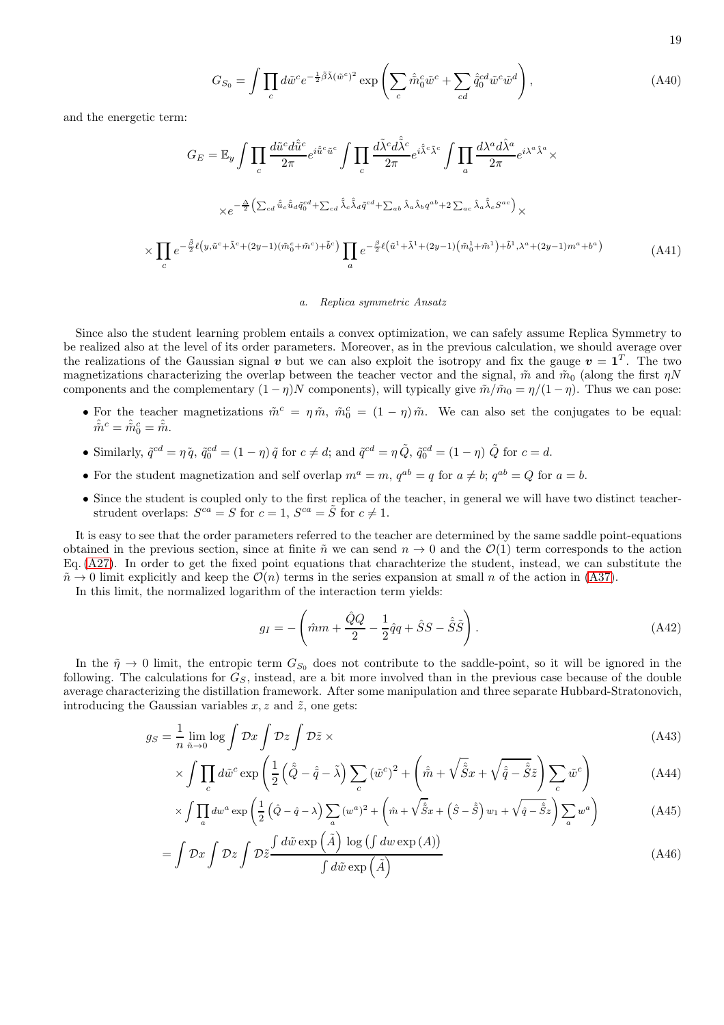$$
19\quad
$$

$$
G_{S_0} = \int \prod_c d\tilde{w}^c e^{-\frac{1}{2}\tilde{\beta}\tilde{\lambda}(\tilde{w}^c)^2} \exp\left(\sum_c \hat{\tilde{m}}_0^c \tilde{w}^c + \sum_{cd} \hat{\tilde{q}}_0^{cd} \tilde{w}^c \tilde{w}^d\right),\tag{A40}
$$

and the energetic term:

×

$$
G_E = \mathbb{E}_y \int \prod_c \frac{d\tilde{u}^c d\hat{\tilde{u}}^c}{2\pi} e^{i\hat{\tilde{u}}^c \tilde{u}^c} \int \prod_c \frac{d\tilde{\lambda}^c d\tilde{\lambda}^c}{2\pi} e^{i\hat{\tilde{\lambda}}^c \tilde{\lambda}^c} \int \prod_a \frac{d\lambda^a d\hat{\lambda}^a}{2\pi} e^{i\lambda^a \hat{\lambda}^a} \times
$$
  

$$
\times e^{-\frac{\Delta}{2} \left( \sum_{cd} \hat{\tilde{u}}_c \hat{\tilde{u}}_d \tilde{q}_0^{cd} + \sum_{cd} \hat{\tilde{\lambda}}_c \hat{\tilde{\lambda}}_d \tilde{q}^{cd} + \sum_{ab} \hat{\lambda}_a \hat{\lambda}_b q^{ab} + 2 \sum_{ac} \hat{\lambda}_a \hat{\tilde{\lambda}}_c S^{ac} \right)} \times
$$
  

$$
\prod_c e^{-\frac{\tilde{\beta}}{2} \ell \left( y, \tilde{u}^c + \tilde{\lambda}^c + (2y - 1)(\tilde{m}_0^c + \tilde{m}^c) + \tilde{b}^c \right)} \prod_a e^{-\frac{\beta}{2} \ell \left( \tilde{u}^1 + \tilde{\lambda}^1 + (2y - 1)(\tilde{m}_0^1 + \tilde{m}^1) + \tilde{b}^1, \lambda^a + (2y - 1)m^a + b^a \right)} \tag{A41}
$$

### *a. Replica symmetric Ansatz*

Since also the student learning problem entails a convex optimization, we can safely assume Replica Symmetry to be realized also at the level of its order parameters. Moreover, as in the previous calculation, we should average over the realizations of the Gaussian signal  $\bf{v}$  but we can also exploit the isotropy and fix the gauge  $\bf{v} = \bf{1}^T$ . The two magnetizations characterizing the overlap between the teacher vector and the signal,  $\tilde{m}$  and  $\tilde{m}_0$  (along the first  $\eta N$ components and the complementary  $(1 - \eta)N$  components), will typically give  $\tilde{m}/\tilde{m}_0 = \eta/(1 - \eta)$ . Thus we can pose:

- For the teacher magnetizations  $\tilde{m}^c = \eta \tilde{m}$ ,  $\tilde{m}_0^c = (1 \eta) \tilde{m}$ . We can also set the conjugates to be equal:  $\hat{\tilde{m}}^c = \hat{\tilde{m}}_0^c = \hat{\tilde{m}}$ .
- Similarly,  $\tilde{q}^{cd} = \eta \tilde{q}$ ,  $\tilde{q}_0^{cd} = (1 \eta) \tilde{q}$  for  $c \neq d$ ; and  $\tilde{q}^{cd} = \eta \tilde{Q}$ ,  $\tilde{q}_0^{cd} = (1 \eta) \tilde{Q}$  for  $c = d$ .
- For the student magnetization and self overlap  $m^a = m$ ,  $q^{ab} = q$  for  $a \neq b$ ;  $q^{ab} = Q$  for  $a = b$ .
- Since the student is coupled only to the first replica of the teacher, in general we will have two distinct teacherstrudent overlaps:  $S^{ca} = S$  for  $c = 1$ ,  $S^{ca} = \tilde{S}$  for  $c \neq 1$ .

It is easy to see that the order parameters referred to the teacher are determined by the same saddle point-equations obtained in the previous section, since at finite  $\tilde{n}$  we can send  $n \to 0$  and the  $\mathcal{O}(1)$  term corresponds to the action Eq. [\(A27\)](#page-15-0). In order to get the fixed point equations that charachterize the student, instead, we can substitute the  $\tilde{n} \to 0$  limit explicitly and keep the  $\mathcal{O}(n)$  terms in the series expansion at small n of the action in [\(A37\)](#page-17-0).

In this limit, the normalized logarithm of the interaction term yields:

$$
g_I = -\left(\hat{m}m + \frac{\hat{Q}Q}{2} - \frac{1}{2}\hat{q}q + \hat{S}S - \hat{\tilde{S}}\tilde{S}\right). \tag{A42}
$$

In the  $\tilde{\eta} \to 0$  limit, the entropic term  $G_{S_0}$  does not contribute to the saddle-point, so it will be ignored in the following. The calculations for  $G<sub>S</sub>$ , instead, are a bit more involved than in the previous case because of the double average characterizing the distillation framework. After some manipulation and three separate Hubbard-Stratonovich, introducing the Gaussian variables  $x, z$  and  $\tilde{z}$ , one gets:

$$
g_S = \frac{1}{n} \lim_{\tilde{n} \to 0} \log \int \mathcal{D}x \int \mathcal{D}\tilde{z} \times
$$
 (A43)

$$
\times \int \prod_c d\tilde{w}^c \exp\left(\frac{1}{2}\left(\hat{\tilde{Q}} - \hat{\tilde{q}} - \tilde{\lambda}\right) \sum_c (\tilde{w}^c)^2 + \left(\hat{\tilde{m}} + \sqrt{\hat{\tilde{S}}x} + \sqrt{\hat{\tilde{q}} - \hat{\tilde{S}}}\tilde{z}\right) \sum_c \tilde{w}^c\right)
$$
(A44)

$$
\times \int \prod_{a} dw^{a} \exp \left( \frac{1}{2} \left( \hat{Q} - \hat{q} - \lambda \right) \sum_{a} (w^{a})^{2} + \left( \hat{m} + \sqrt{\hat{S}} x + \left( \hat{S} - \hat{\tilde{S}} \right) w_{1} + \sqrt{\hat{q} - \hat{\tilde{S}}} z \right) \sum_{a} w^{a} \right) \tag{A45}
$$

$$
= \int \mathcal{D}x \int \mathcal{D}\tilde{z} \frac{\int d\tilde{w} \exp\left(\tilde{A}\right) \log\left(\int dw \exp\left(A\right)\right)}{\int d\tilde{w} \exp\left(\tilde{A}\right)}
$$
(A46)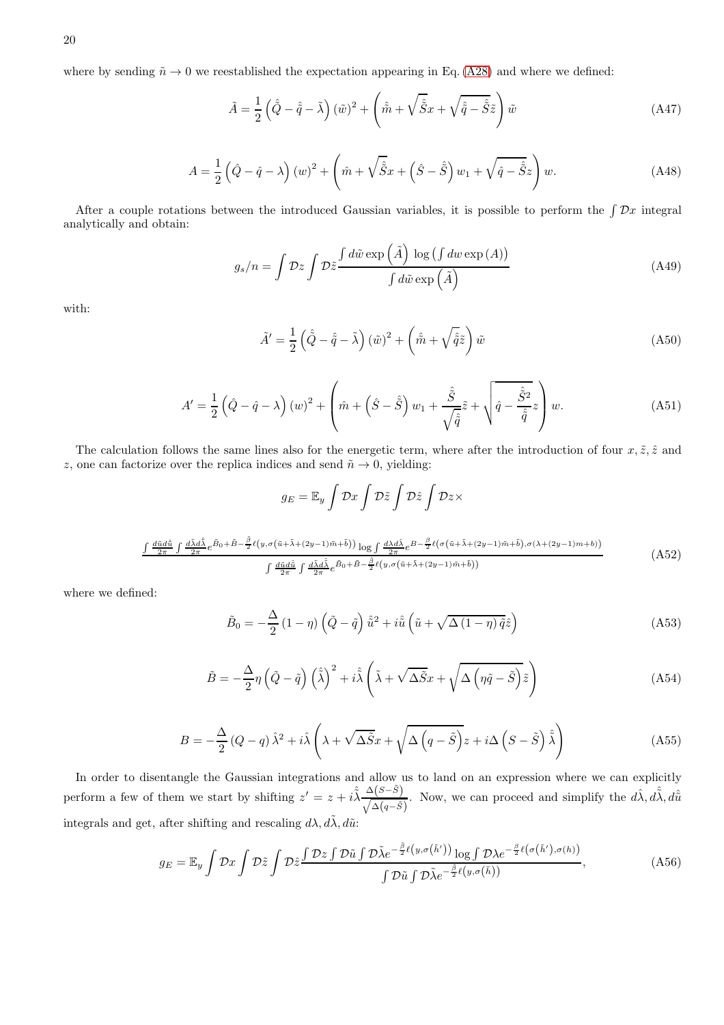where by sending  $\tilde{n} \to 0$  we reestablished the expectation appearing in Eq. [\(A28\)](#page-16-1) and where we defined:

$$
\tilde{A} = \frac{1}{2} \left( \hat{\tilde{Q}} - \hat{\tilde{q}} - \tilde{\lambda} \right) (\tilde{w})^2 + \left( \hat{\tilde{m}} + \sqrt{\hat{\tilde{S}}} x + \sqrt{\hat{\tilde{q}} - \hat{\tilde{S}}} \tilde{z} \right) \tilde{w}
$$
\n(A47)

$$
A = \frac{1}{2} \left( \hat{Q} - \hat{q} - \lambda \right) \left( w \right)^2 + \left( \hat{m} + \sqrt{\hat{S}} x + \left( \hat{S} - \hat{\tilde{S}} \right) w_1 + \sqrt{\hat{q} - \hat{S}} z \right) w. \tag{A48}
$$

After a couple rotations between the introduced Gaussian variables, it is possible to perform the  $\int \mathcal{D}x$  integral analytically and obtain:

$$
g_s/n = \int \mathcal{D}z \int \mathcal{D}\tilde{z} \frac{\int d\tilde{w} \exp\left(\tilde{A}\right) \log\left(\int dw \exp\left(A\right)\right)}{\int d\tilde{w} \exp\left(\tilde{A}\right)}
$$
(A49)

with:

$$
\tilde{A}' = \frac{1}{2} \left( \hat{\tilde{Q}} - \hat{\tilde{q}} - \tilde{\lambda} \right) (\tilde{w})^2 + \left( \hat{\tilde{m}} + \sqrt{\hat{\tilde{q}}}\tilde{z} \right) \tilde{w}
$$
\n(A50)

$$
A' = \frac{1}{2} \left( \hat{Q} - \hat{q} - \lambda \right) (w)^2 + \left( \hat{m} + \left( \hat{S} - \hat{\tilde{S}} \right) w_1 + \frac{\hat{\tilde{S}}}{\sqrt{\hat{\tilde{q}}}} \tilde{z} + \sqrt{\hat{q} - \frac{\hat{\tilde{S}}^2}{\hat{\tilde{q}}}} z \right) w. \tag{A51}
$$

The calculation follows the same lines also for the energetic term, where after the introduction of four  $x, \tilde{z}, \hat{z}$  and z, one can factorize over the replica indices and send  $\tilde{n} \to 0$ , yielding:

$$
g_E = \mathbb{E}_y \int \mathcal{D}x \int \mathcal{D}\tilde{z} \int \mathcal{D}\tilde{z} \int \mathcal{D}z \times
$$

$$
\frac{\int \frac{d\tilde{u}d\hat{u}}{2\pi} \int \frac{d\tilde{\lambda}d\hat{\lambda}}{2\pi} e^{\tilde{B}_0 + \tilde{B} - \frac{\tilde{\beta}}{2}\ell(y, \sigma(\tilde{u} + \tilde{\lambda} + (2y - 1)\tilde{m} + \tilde{b}))} \log \int \frac{d\lambda d\hat{\lambda}}{2\pi} e^{B - \frac{\beta}{2}\ell(\sigma(\tilde{u} + \tilde{\lambda} + (2y - 1)\tilde{m} + \tilde{b}), \sigma(\lambda + (2y - 1)m + b))}{\int \frac{d\tilde{u}d\hat{u}}{2\pi} \int \frac{d\tilde{\lambda}d\hat{\lambda}}{2\pi} e^{\tilde{B}_0 + \tilde{B} - \frac{\tilde{\beta}}{2}\ell(y, \sigma(\tilde{u} + \tilde{\lambda} + (2y - 1)\tilde{m} + \tilde{b}))}
$$
(A52)

where we defined:

$$
\tilde{B}_0 = -\frac{\Delta}{2} \left( 1 - \eta \right) \left( \tilde{Q} - \tilde{q} \right) \hat{\tilde{u}}^2 + i \hat{\tilde{u}} \left( \tilde{u} + \sqrt{\Delta \left( 1 - \eta \right) \tilde{q}} \hat{z} \right)
$$
\n(A53)

$$
\tilde{B} = -\frac{\Delta}{2}\eta \left(\tilde{Q} - \tilde{q}\right) \left(\tilde{\tilde{\lambda}}\right)^2 + i\tilde{\tilde{\lambda}} \left(\tilde{\lambda} + \sqrt{\Delta \tilde{S}}x + \sqrt{\Delta \left(\eta \tilde{q} - \tilde{S}\right)}\tilde{z}\right)
$$
\n(A54)

$$
B = -\frac{\Delta}{2} (Q - q) \hat{\lambda}^2 + i \hat{\lambda} \left( \lambda + \sqrt{\Delta \tilde{S}} x + \sqrt{\Delta \left( q - \tilde{S} \right)} z + i \Delta \left( S - \tilde{S} \right) \hat{\tilde{\lambda}} \right)
$$
(A55)

In order to disentangle the Gaussian integrations and allow us to land on an expression where we can explicitly perform a few of them we start by shifting  $z' = z + i \hat{\lambda} \frac{\Delta(S-\tilde{S})}{\sqrt{1-\tilde{S}}}\$  $\sqrt{\Delta(q-\tilde{S})}$ . Now, we can proceed and simplify the  $d\hat{\lambda}, d\hat{\tilde{\lambda}}, d\hat{\tilde{u}}$ integrals and get, after shifting and rescaling  $d\lambda$ ,  $d\tilde{\lambda}$ ,  $d\tilde{u}$ :

$$
g_E = \mathbb{E}_y \int \mathcal{D}x \int \mathcal{D}\tilde{z} \int \mathcal{D}\tilde{z} \frac{\int \mathcal{D}z \int \mathcal{D}\tilde{u} \int \mathcal{D}\tilde{\lambda} e^{-\frac{\tilde{\beta}}{2}\ell(y,\sigma(\tilde{h}'))} \log \int \mathcal{D}\lambda e^{-\frac{\beta}{2}\ell(\sigma(\tilde{h}'),\sigma(h))}}{\int \mathcal{D}\tilde{u} \int \mathcal{D}\tilde{\lambda} e^{-\frac{\tilde{\beta}}{2}\ell(y,\sigma(\tilde{h}))}},
$$
(A56)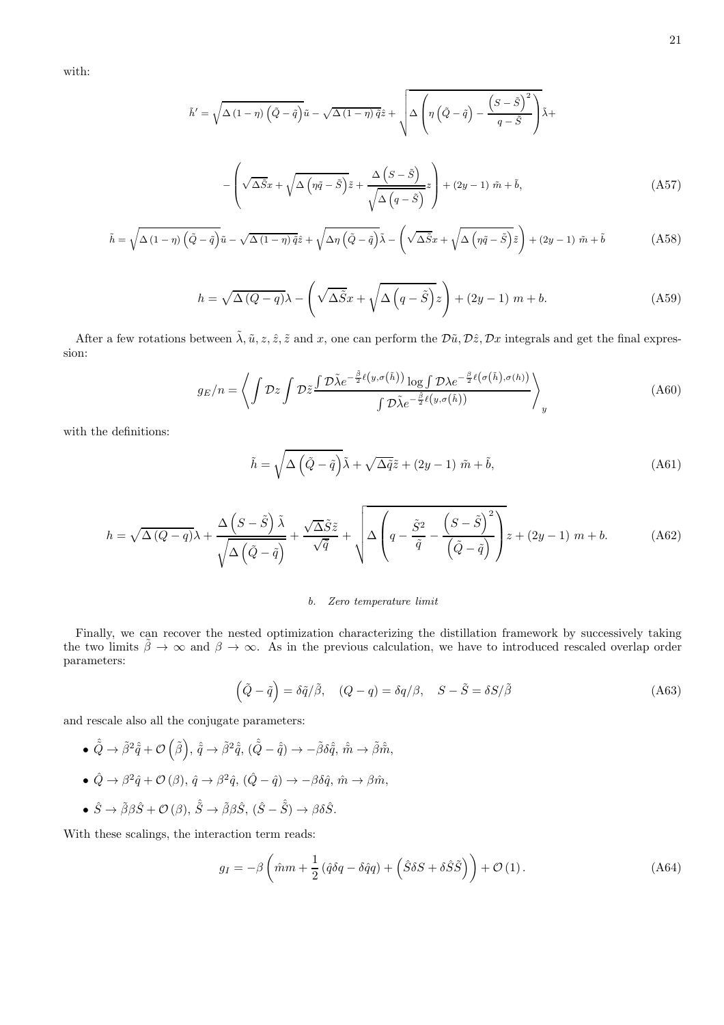with:

$$
\tilde{h}' = \sqrt{\Delta (1 - \eta) \left(\tilde{Q} - \tilde{q}\right)} \tilde{u} - \sqrt{\Delta (1 - \eta) \tilde{q}} \hat{z} + \sqrt{\Delta \left(\eta \left(\tilde{Q} - \tilde{q}\right) - \frac{\left(S - \tilde{S}\right)^2}{q - \tilde{S}}\right)} \tilde{\lambda} + \sqrt{\Delta \left(\eta \tilde{q} - \tilde{S}\right)} \tilde{z} + \frac{\Delta \left(S - \tilde{S}\right)}{\sqrt{\Delta \left(q - \tilde{S}\right)}} z + (2y - 1) \tilde{m} + \tilde{b}, \tag{A57}
$$

$$
\tilde{h} = \sqrt{\Delta (1 - \eta) \left(\tilde{Q} - \tilde{q}\right)} \tilde{u} - \sqrt{\Delta (1 - \eta) \tilde{q}} \hat{z} + \sqrt{\Delta \eta \left(\tilde{Q} - \tilde{q}\right)} \tilde{\lambda} - \left(\sqrt{\Delta \tilde{S}} x + \sqrt{\Delta \left(\eta \tilde{q} - \tilde{S}\right)} \tilde{z}\right) + (2y - 1) \tilde{m} + \tilde{b}
$$
\n(A58)

$$
h = \sqrt{\Delta (Q - q)} \lambda - \left( \sqrt{\Delta \tilde{S}} x + \sqrt{\Delta (q - \tilde{S})} z \right) + (2y - 1) m + b. \tag{A59}
$$

After a few rotations between  $\tilde{\lambda}$ ,  $\tilde{u}$ ,  $z$ ,  $\tilde{z}$ , and x, one can perform the  $\tilde{D}\tilde{u}$ ,  $\tilde{D}\tilde{z}$ ,  $\tilde{D}x$  integrals and get the final expression:

$$
g_E/n = \left\langle \int \mathcal{D}z \int \mathcal{D}\tilde{z} \frac{\int \mathcal{D}\tilde{\lambda} e^{-\frac{\tilde{\beta}}{2}\ell(y,\sigma(\tilde{h}))} \log \int \mathcal{D}\lambda e^{-\frac{\beta}{2}\ell(\sigma(\tilde{h}),\sigma(h))}}{\int \mathcal{D}\tilde{\lambda} e^{-\frac{\tilde{\beta}}{2}\ell(y,\sigma(\tilde{h}))}} \right\rangle_y
$$
(A60)

with the definitions:

$$
\tilde{h} = \sqrt{\Delta \left(\tilde{Q} - \tilde{q}\right)} \tilde{\lambda} + \sqrt{\Delta \tilde{q}} \tilde{z} + (2y - 1) \tilde{m} + \tilde{b},\tag{A61}
$$

$$
h = \sqrt{\Delta (Q - q)} \lambda + \frac{\Delta \left(S - \tilde{S}\right) \tilde{\lambda}}{\sqrt{\Delta \left(\tilde{Q} - \tilde{q}\right)}} + \frac{\sqrt{\Delta \tilde{S}} \tilde{z}}{\sqrt{\tilde{q}}} + \sqrt{\Delta \left(q - \frac{\tilde{S}^2}{\tilde{q}} - \frac{\left(S - \tilde{S}\right)^2}{\left(\tilde{Q} - \tilde{q}\right)}\right)} z + (2y - 1) m + b. \tag{A62}
$$

### *b. Zero temperature limit*

Finally, we can recover the nested optimization characterizing the distillation framework by successively taking the two limits  $\tilde{\beta} \to \infty$  and  $\beta \to \infty$ . As in the previous calculation, we have to introduced rescaled overlap order parameters:

$$
\left(\tilde{Q} - \tilde{q}\right) = \delta \tilde{q}/\tilde{\beta}, \quad (Q - q) = \delta q/\beta, \quad S - \tilde{S} = \delta S/\tilde{\beta}
$$
\n(A63)

and rescale also all the conjugate parameters:

- $\bullet\ \hat{\tilde{Q}}\rightarrow\tilde{\beta}^{2}\hat{\tilde{q}}+\mathcal{O}\left(\tilde{\beta}\right),\ \hat{\tilde{q}}\rightarrow\tilde{\beta}^{2}\hat{\tilde{q}},\ (\hat{\tilde{Q}}-\hat{\tilde{q}})\rightarrow-\tilde{\beta}\delta\hat{\tilde{q}},\ \hat{\tilde{m}}\rightarrow\tilde{\beta}\hat{\tilde{m}},$
- $\hat{Q} \rightarrow \beta^2 \hat{q} + \mathcal{O}(\beta), \hat{q} \rightarrow \beta^2 \hat{q}, (\hat{Q} \hat{q}) \rightarrow -\beta \delta \hat{q}, \hat{m} \rightarrow \beta \hat{m},$
- $\hat{S} \rightarrow \tilde{\beta}\beta\hat{S} + \mathcal{O}(\beta), \hat{\tilde{S}} \rightarrow \tilde{\beta}\beta\hat{S}, (\hat{S} \hat{\tilde{S}}) \rightarrow \beta\delta\hat{S}.$

With these scalings, the interaction term reads:

$$
g_I = -\beta \left(\hat{m}m + \frac{1}{2} \left(\hat{q}\delta q - \delta \hat{q}q\right) + \left(\hat{S}\delta S + \delta \hat{S}\tilde{S}\right)\right) + \mathcal{O}(1). \tag{A64}
$$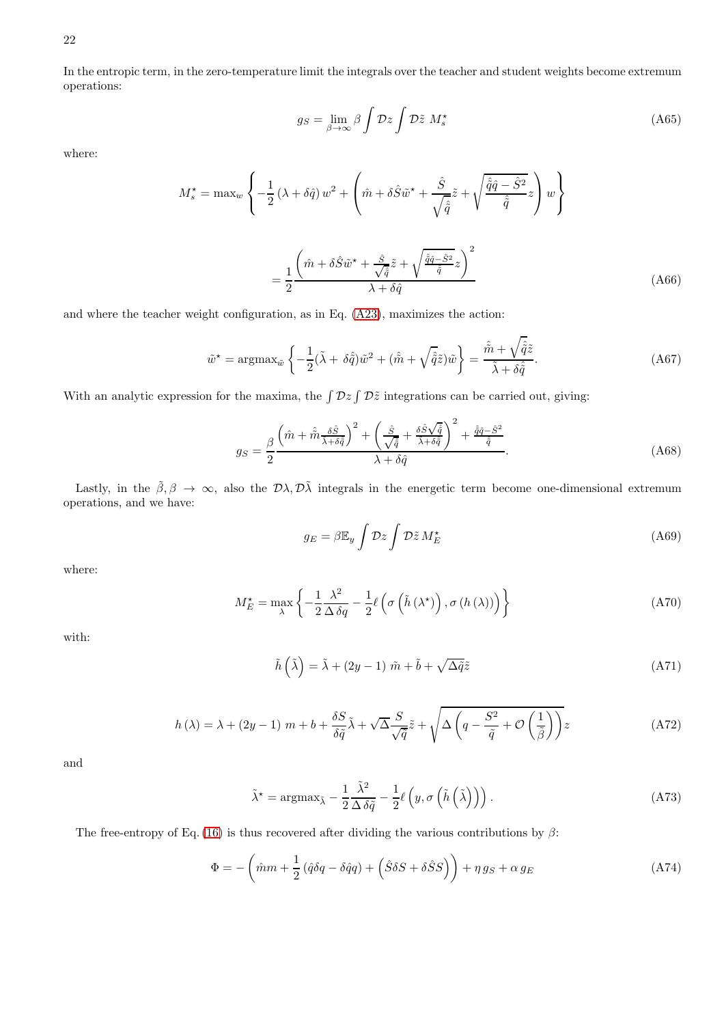22

In the entropic term, in the zero-temperature limit the integrals over the teacher and student weights become extremum operations:

$$
g_S = \lim_{\beta \to \infty} \beta \int \mathcal{D}z \int \mathcal{D}\tilde{z} \ M_s^{\star}
$$
 (A65)

where:

$$
M_s^* = \max_{w} \left\{ -\frac{1}{2} \left( \lambda + \delta \hat{q} \right) w^2 + \left( \hat{m} + \delta \hat{S} \tilde{w}^* + \frac{\hat{S}}{\sqrt{\hat{\hat{q}}}} \tilde{z} + \sqrt{\frac{\hat{\hat{q}} \hat{q} - \hat{S}^2}{\hat{\hat{q}}}} z \right) w \right\}
$$

$$
= \frac{1}{2} \frac{\left( \hat{m} + \delta \hat{S} \tilde{w}^* + \frac{\hat{S}}{\sqrt{\hat{\hat{q}}}} \tilde{z} + \sqrt{\frac{\hat{\hat{q}} \hat{q} - \hat{S}^2}{\hat{\hat{q}}}} z \right)^2}{\lambda + \delta \hat{q}}
$$
(A66)

and where the teacher weight configuration, as in Eq. [\(A23\)](#page-15-1), maximizes the action:

$$
\tilde{w}^* = \operatorname{argmax}_{\tilde{w}} \left\{ -\frac{1}{2} (\tilde{\lambda} + \delta \hat{\tilde{q}}) \tilde{w}^2 + (\hat{\tilde{m}} + \sqrt{\hat{\tilde{q}}}\tilde{z}) \tilde{w} \right\} = \frac{\hat{\tilde{m}} + \sqrt{\hat{\tilde{q}}}\tilde{z}}{\tilde{\lambda} + \delta \hat{\tilde{q}}}.
$$
\n(A67)

With an analytic expression for the maxima, the  $\int \mathcal{D}z \int \mathcal{D}\tilde{z}$  integrations can be carried out, giving:

$$
g_S = \frac{\beta}{2} \frac{\left(\hat{m} + \hat{\tilde{m}} \frac{\delta \hat{S}}{\tilde{\lambda} + \delta \hat{\tilde{q}}}\right)^2 + \left(\frac{\hat{S}}{\sqrt{\hat{q}}} + \frac{\delta \hat{S} \sqrt{\hat{q}}}{\tilde{\lambda} + \delta \hat{\tilde{q}}}\right)^2 + \frac{\hat{\tilde{q}} \hat{q} - \hat{S}^2}{\hat{\tilde{q}}}}{\lambda + \delta \hat{q}}.
$$
\n(A68)

Lastly, in the  $\tilde{\beta}, \beta \to \infty$ , also the  $\mathcal{D}\lambda, \mathcal{D}\tilde{\lambda}$  integrals in the energetic term become one-dimensional extremum operations, and we have:

$$
g_E = \beta \mathbb{E}_y \int \mathcal{D}z \int \mathcal{D}\tilde{z} M_E^{\star}
$$
 (A69)

where:

$$
M_{E}^{\star} = \max_{\lambda} \left\{ -\frac{1}{2} \frac{\lambda^{2}}{\Delta \delta q} - \frac{1}{2} \ell \left( \sigma \left( \tilde{h} \left( \lambda^{\star} \right) \right), \sigma \left( h \left( \lambda \right) \right) \right) \right\}
$$
(A70)

with:

$$
\tilde{h}(\tilde{\lambda}) = \tilde{\lambda} + (2y - 1)\tilde{m} + \tilde{b} + \sqrt{\Delta \tilde{q}} \tilde{z}
$$
\n(A71)

$$
h(\lambda) = \lambda + (2y - 1) \ m + b + \frac{\delta S}{\delta \tilde{q}} \tilde{\lambda} + \sqrt{\Delta} \frac{S}{\sqrt{\tilde{q}}} \tilde{z} + \sqrt{\Delta \left( q - \frac{S^2}{\tilde{q}} + \mathcal{O} \left( \frac{1}{\tilde{\beta}} \right) \right)} z
$$
 (A72)

and

$$
\tilde{\lambda}^* = \operatorname{argmax}_{\tilde{\lambda}} - \frac{1}{2} \frac{\tilde{\lambda}^2}{\Delta \delta \tilde{q}} - \frac{1}{2} \ell \left( y, \sigma \left( \tilde{h} \left( \tilde{\lambda} \right) \right) \right). \tag{A73}
$$

The free-entropy of Eq. [\(16\)](#page-5-2) is thus recovered after dividing the various contributions by  $\beta$ :

$$
\Phi = -\left(\hat{m}m + \frac{1}{2}\left(\hat{q}\delta q - \delta\hat{q}q\right) + \left(\hat{S}\delta S + \delta\hat{S}S\right)\right) + \eta g_S + \alpha g_E\tag{A74}
$$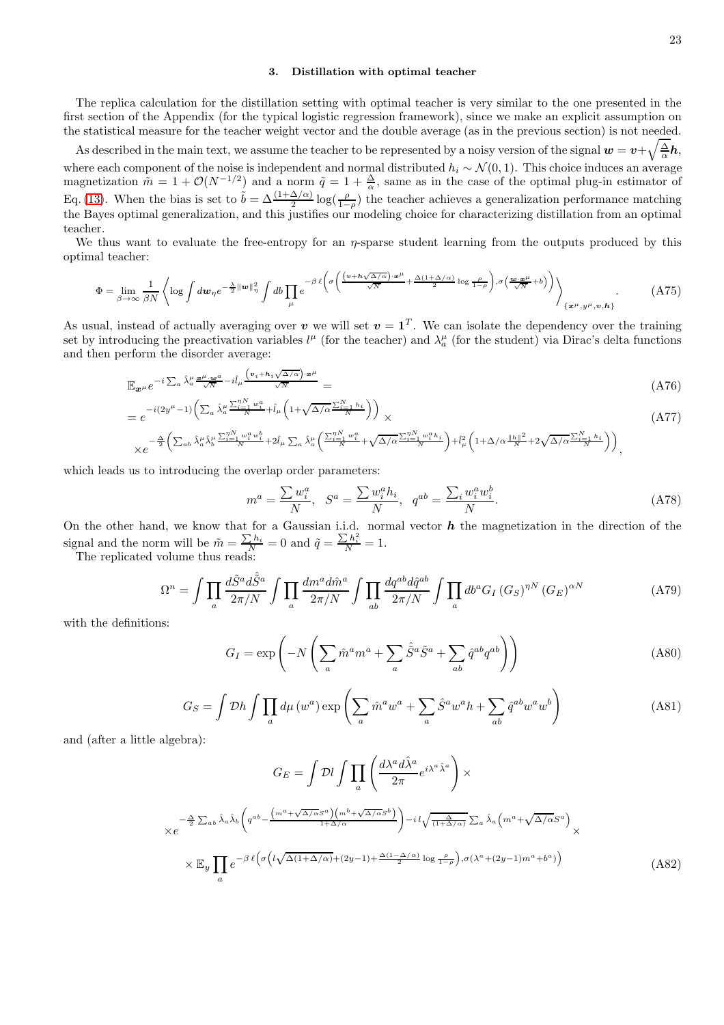# 3. Distillation with optimal teacher

The replica calculation for the distillation setting with optimal teacher is very similar to the one presented in the first section of the Appendix (for the typical logistic regression framework), since we make an explicit assumption on the statistical measure for the teacher weight vector and the double average (as in the previous section) is not needed.

As described in the main text, we assume the teacher to be represented by a noisy version of the signal  $w = v + \sqrt{\frac{\Delta}{\alpha}}h$ , where each component of the noise is independent and normal distributed  $h_i \sim \mathcal{N}(0, 1)$ . This choice induces an average magnetization  $\tilde{m} = 1 + \mathcal{O}(N^{-1/2})$  and a norm  $\tilde{q} = 1 + \frac{\Delta}{\alpha}$ , same as in the case of the optimal plug-in estimator of Eq. [\(13\)](#page-3-1). When the bias is set to  $\tilde{b} = \Delta \frac{(1+\Delta/\alpha)}{2} \log(\frac{\rho}{1-\rho})$  the teacher achieves a generalization performance matching the Bayes optimal generalization, and this justifies our modeling choice for characterizing distillation from an optimal teacher.

We thus want to evaluate the free-entropy for an  $\eta$ -sparse student learning from the outputs produced by this optimal teacher:

$$
\Phi = \lim_{\beta \to \infty} \frac{1}{\beta N} \left\langle \log \int d\mathbf{w}_{\eta} e^{-\frac{\lambda}{2} ||\mathbf{w}||_{\eta}^{2}} \int d\mathbf{b} \prod_{\mu} e^{-\beta \ell \left( \sigma \left( \frac{(\mathbf{v} + \mathbf{h}\sqrt{\Delta/\alpha}) \cdot \mathbf{w}^{\mu}}{\sqrt{N}} + \frac{\Delta(1 + \Delta/\alpha)}{2} \log \frac{\rho}{1 - \rho} \right), \sigma \left( \frac{\mathbf{w} \cdot \mathbf{w}^{\mu}}{\sqrt{N}} + b \right) \right) \right\rangle}_{\{\mathbf{x}^{\mu}, \mathbf{y}^{\mu}, \mathbf{v}, \mathbf{h}\}}.
$$
 (A75)

As usual, instead of actually averaging over v we will set  $v = 1<sup>T</sup>$ . We can isolate the dependency over the training set by introducing the preactivation variables  $l^{\mu}$  (for the teacher) and  $\lambda^{\mu}_a$  (for the student) via Dirac's delta functions and then perform the disorder average:

$$
\mathbb{E}_{x^{\mu}} e^{-i \sum_{a} \hat{\lambda}_{a}^{\mu} \frac{x^{\mu} \cdot w^{a}}{\sqrt{N}} - i \hat{l}_{\mu} \frac{(v_{i} + h_{i} \sqrt{\Delta/\alpha}) \cdot x^{\mu}}{\sqrt{N}}} =
$$
\n(A76)

$$
=e^{-i(2y^{\mu}-1)\left(\sum_{a}\hat{\lambda}_{a}^{\mu}\frac{\sum_{i=1}^{nN}w_{i}^{a}}{N}+\hat{l}_{\mu}\left(1+\sqrt{\Delta/\alpha}\frac{\sum_{i=1}^{N}h_{i}}{N}\right)\right)} \times
$$
\n
$$
(A77)
$$

$$
\times e^{-\frac{\Delta}{2}\left(\sum_{ab}\hat{\lambda}^{\mu}_a\hat{\lambda}^{\mu}_b\frac{\sum_{i=1}^{nN}w^a_iw^b_i}{N}+2\hat{l}_{\mu}\sum_{a}\hat{\lambda}^{\mu}_a\left(\frac{\sum_{i=1}^{nN}w^a_i}{N}+\sqrt{\Delta/\alpha}\frac{\sum_{i=1}^{nN}w^a_ih_i}{N}\right)+\hat{l}_{\mu}^2\left(1+\Delta/\alpha\frac{\|h\|^2}{N}+2\sqrt{\Delta/\alpha}\frac{\sum_{i=1}^{N}h_i}{N}\right)\right)},
$$

which leads us to introducing the overlap order parameters:

$$
m^{a} = \frac{\sum w_{i}^{a}}{N}, \quad S^{a} = \frac{\sum w_{i}^{a} h_{i}}{N}, \quad q^{ab} = \frac{\sum_{i} w_{i}^{a} w_{i}^{b}}{N}.
$$
 (A78)

On the other hand, we know that for a Gaussian i.i.d. normal vector  $h$  the magnetization in the direction of the signal and the norm will be  $\tilde{m} = \frac{\sum h_i}{N} = 0$  and  $\tilde{q} = \frac{\sum h_i^2}{N} = 1$ .

The replicated volume thus reads:

$$
\Omega^{n} = \int \prod_{a} \frac{d\tilde{S}^{a} d\tilde{\tilde{S}}^{a}}{2\pi/N} \int \prod_{a} \frac{dm^{a} d\hat{m}^{a}}{2\pi/N} \int \prod_{ab} \frac{dq^{ab} d\hat{q}^{ab}}{2\pi/N} \int \prod_{a} db^{a} G_{I} (G_{S})^{nN} (G_{E})^{\alpha N}
$$
(A79)

with the definitions:

$$
G_I = \exp\left(-N\left(\sum_a \hat{m}^a m^a + \sum_a \hat{\tilde{S}}^a \tilde{S}^a + \sum_{ab} \hat{q}^{ab} q^{ab}\right)\right)
$$
(A80)

$$
G_S = \int \mathcal{D}h \int \prod_a d\mu \left( w^a \right) \exp \left( \sum_a \hat{m}^a w^a + \sum_a \hat{S}^a w^a h + \sum_{ab} \hat{q}^{ab} w^a w^b \right)
$$
(A81)

and (after a little algebra):

$$
G_E = \int \mathcal{D}l \int \prod_a \left( \frac{d\lambda^a d\hat{\lambda}^a}{2\pi} e^{i\lambda^a \hat{\lambda}^a} \right) \times
$$
  
\n
$$
\times e^{-\frac{\Delta}{2} \sum_{ab} \hat{\lambda}_a \hat{\lambda}_b} \left( q^{ab} - \frac{\left( m^a + \sqrt{\Delta/\alpha} S^a \right) \left( m^b + \sqrt{\Delta/\alpha} S^b \right)}{1 + \Delta/\alpha} \right) - i \left( \sqrt{\frac{\Delta}{(1 + \Delta/\alpha)}} \sum_a \hat{\lambda}_a \left( m^a + \sqrt{\Delta/\alpha} S^a \right) \right) \times
$$
  
\n
$$
\times \mathbb{E}_y \prod_a e^{-\beta \ell \left( \sigma \left( l \sqrt{\Delta(1 + \Delta/\alpha)} + (2y - 1) + \frac{\Delta(1 - \Delta/\alpha)}{2} \log \frac{\rho}{1 - \rho} \right), \sigma(\lambda^a + (2y - 1)m^a + b^a) \right)}
$$
(A82)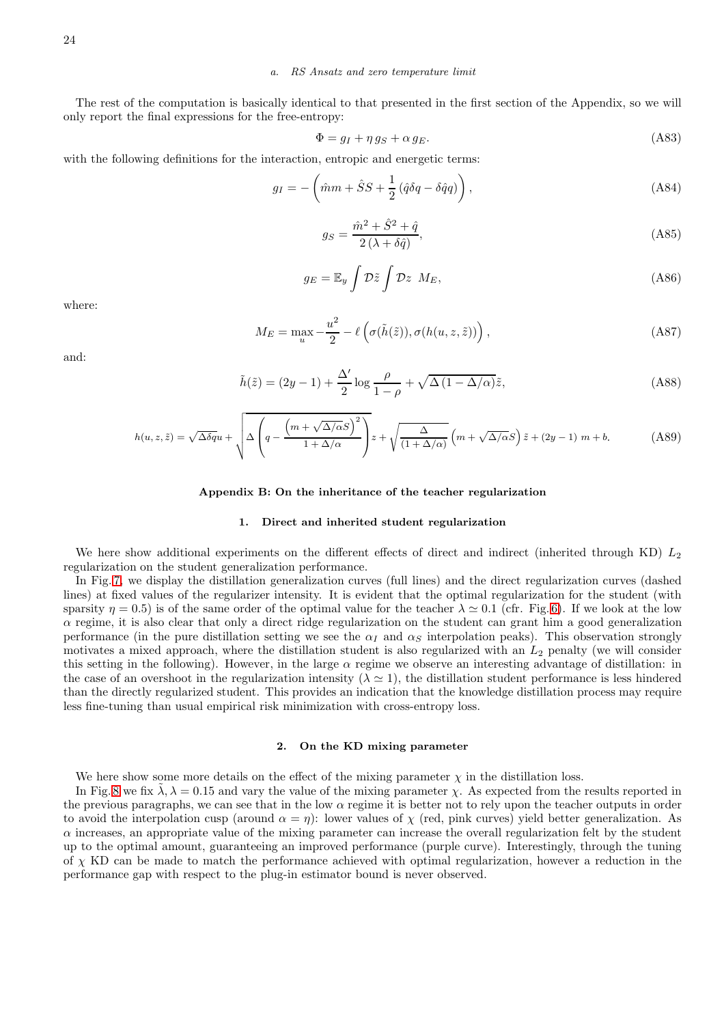# *a. RS Ansatz and zero temperature limit*

The rest of the computation is basically identical to that presented in the first section of the Appendix, so we will only report the final expressions for the free-entropy:

$$
\Phi = g_I + \eta g_S + \alpha g_E. \tag{A83}
$$

with the following definitions for the interaction, entropic and energetic terms:

$$
g_I = -\left(\hat{m}m + \hat{S}S + \frac{1}{2}\left(\hat{q}\delta q - \delta\hat{q}q\right)\right),\tag{A84}
$$

$$
g_S = \frac{\hat{m}^2 + \hat{S}^2 + \hat{q}}{2\left(\lambda + \delta\hat{q}\right)},\tag{A85}
$$

$$
g_E = \mathbb{E}_y \int \mathcal{D}\tilde{z} \int \mathcal{D}z \ M_E,
$$
\n(A86)

where:

$$
M_E = \max_{u} -\frac{u^2}{2} - \ell \left( \sigma(\tilde{h}(\tilde{z})), \sigma(h(u, z, \tilde{z})) \right), \tag{A87}
$$

and:

$$
\tilde{h}(\tilde{z}) = (2y - 1) + \frac{\Delta'}{2} \log \frac{\rho}{1 - \rho} + \sqrt{\Delta (1 - \Delta/\alpha)} \tilde{z},\tag{A88}
$$

$$
h(u, z, \tilde{z}) = \sqrt{\Delta \delta q} u + \sqrt{\Delta \left( q - \frac{\left( m + \sqrt{\Delta/\alpha} S \right)^2}{1 + \Delta/\alpha} \right)} z + \sqrt{\frac{\Delta}{\left( 1 + \Delta/\alpha \right)}} \left( m + \sqrt{\Delta/\alpha} S \right) \tilde{z} + \left( 2y - 1 \right) m + b. \tag{A89}
$$

#### <span id="page-23-0"></span>Appendix B: On the inheritance of the teacher regularization

### 1. Direct and inherited student regularization

We here show additional experiments on the different effects of direct and indirect (inherited through KD)  $L_2$ regularization on the student generalization performance.

In Fig. [7,](#page-24-0) we display the distillation generalization curves (full lines) and the direct regularization curves (dashed lines) at fixed values of the regularizer intensity. It is evident that the optimal regularization for the student (with sparsity  $\eta = 0.5$ ) is of the same order of the optimal value for the teacher  $\lambda \approx 0.1$  (cfr. Fig. [6\)](#page-16-0). If we look at the low  $\alpha$  regime, it is also clear that only a direct ridge regularization on the student can grant him a good generalization performance (in the pure distillation setting we see the  $\alpha_I$  and  $\alpha_S$  interpolation peaks). This observation strongly motivates a mixed approach, where the distillation student is also regularized with an  $L_2$  penalty (we will consider this setting in the following). However, in the large  $\alpha$  regime we observe an interesting advantage of distillation: in the case of an overshoot in the regularization intensity ( $\lambda \approx 1$ ), the distillation student performance is less hindered than the directly regularized student. This provides an indication that the knowledge distillation process may require less fine-tuning than usual empirical risk minimization with cross-entropy loss.

#### 2. On the KD mixing parameter

We here show some more details on the effect of the mixing parameter  $\chi$  in the distillation loss.

In Fig. [8](#page-24-1) we fix  $\lambda, \lambda = 0.15$  and vary the value of the mixing parameter  $\chi$ . As expected from the results reported in the previous paragraphs, we can see that in the low  $\alpha$  regime it is better not to rely upon the teacher outputs in order to avoid the interpolation cusp (around  $\alpha = \eta$ ): lower values of  $\chi$  (red, pink curves) yield better generalization. As  $\alpha$  increases, an appropriate value of the mixing parameter can increase the overall regularization felt by the student up to the optimal amount, guaranteeing an improved performance (purple curve). Interestingly, through the tuning of χ KD can be made to match the performance achieved with optimal regularization, however a reduction in the performance gap with respect to the plug-in estimator bound is never observed.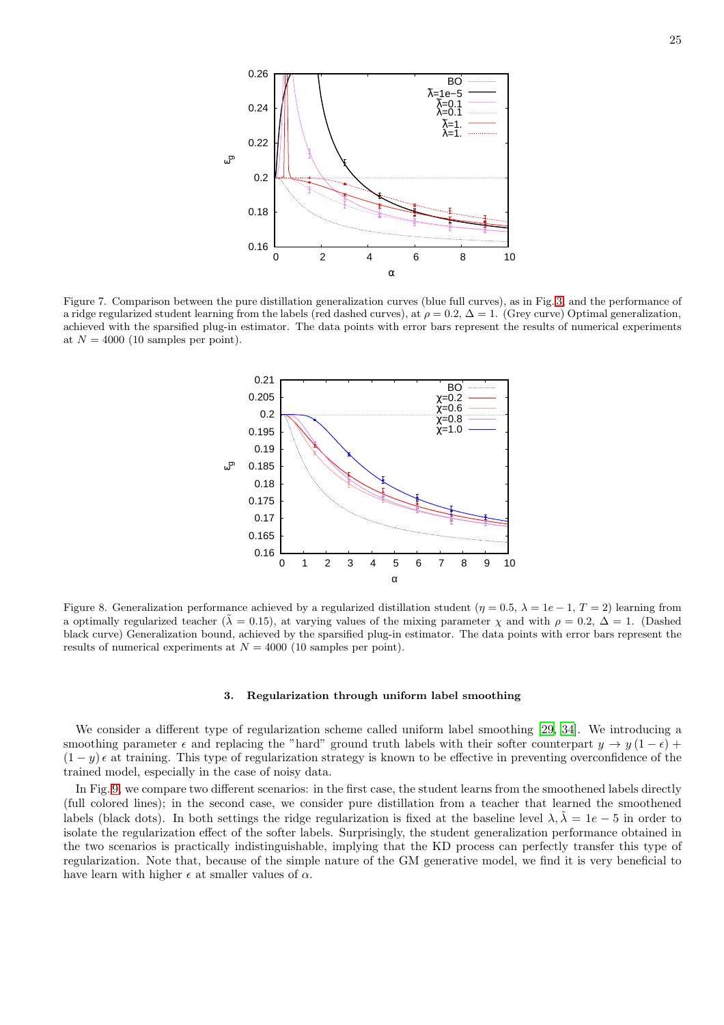

<span id="page-24-0"></span>Figure 7. Comparison between the pure distillation generalization curves (blue full curves), as in Fig. [3,](#page-8-0) and the performance of a ridge regularized student learning from the labels (red dashed curves), at  $\rho = 0.2$ ,  $\Delta = 1$ . (Grey curve) Optimal generalization, achieved with the sparsified plug-in estimator. The data points with error bars represent the results of numerical experiments at  $N = 4000$  (10 samples per point).



<span id="page-24-1"></span>Figure 8. Generalization performance achieved by a regularized distillation student  $(\eta = 0.5, \lambda = 1e - 1, T = 2)$  learning from a optimally regularized teacher ( $\tilde{\lambda} = 0.15$ ), at varying values of the mixing parameter  $\chi$  and with  $\rho = 0.2$ ,  $\Delta = 1$ . (Dashed black curve) Generalization bound, achieved by the sparsified plug-in estimator. The data points with error bars represent the results of numerical experiments at  $N = 4000$  (10 samples per point).

#### 3. Regularization through uniform label smoothing

We consider a different type of regularization scheme called uniform label smoothing [\[29](#page-12-9), [34\]](#page-12-10). We introducing a smoothing parameter  $\epsilon$  and replacing the "hard" ground truth labels with their softer counterpart  $y \to y(1-\epsilon)$  +  $(1 - y)$   $\epsilon$  at training. This type of regularization strategy is known to be effective in preventing overconfidence of the trained model, especially in the case of noisy data.

In Fig. [9,](#page-25-0) we compare two different scenarios: in the first case, the student learns from the smoothened labels directly (full colored lines); in the second case, we consider pure distillation from a teacher that learned the smoothened labels (black dots). In both settings the ridge regularization is fixed at the baseline level  $\lambda, \tilde{\lambda} = 1e - 5$  in order to isolate the regularization effect of the softer labels. Surprisingly, the student generalization performance obtained in the two scenarios is practically indistinguishable, implying that the KD process can perfectly transfer this type of regularization. Note that, because of the simple nature of the GM generative model, we find it is very beneficial to have learn with higher  $\epsilon$  at smaller values of  $\alpha$ .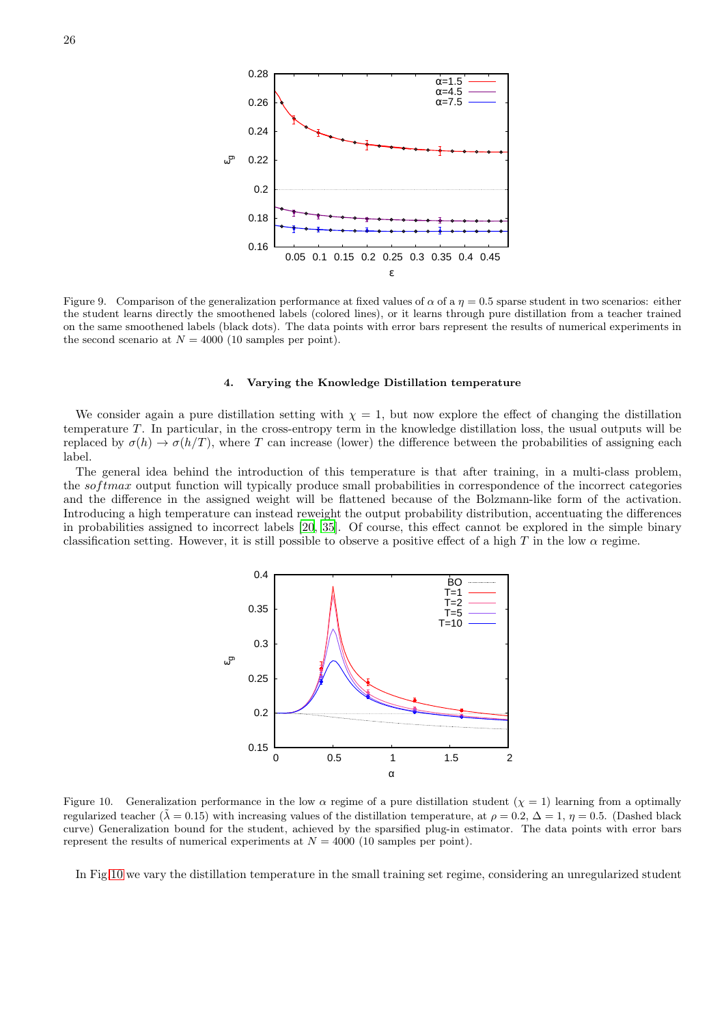

<span id="page-25-0"></span>Figure 9. Comparison of the generalization performance at fixed values of  $\alpha$  of a  $\eta = 0.5$  sparse student in two scenarios: either the student learns directly the smoothened labels (colored lines), or it learns through pure distillation from a teacher trained on the same smoothened labels (black dots). The data points with error bars represent the results of numerical experiments in the second scenario at  $N = 4000$  (10 samples per point).

### 4. Varying the Knowledge Distillation temperature

We consider again a pure distillation setting with  $\chi = 1$ , but now explore the effect of changing the distillation temperature  $T$ . In particular, in the cross-entropy term in the knowledge distillation loss, the usual outputs will be replaced by  $\sigma(h) \to \sigma(h/T)$ , where T can increase (lower) the difference between the probabilities of assigning each label.

The general idea behind the introduction of this temperature is that after training, in a multi-class problem, the softmax output function will typically produce small probabilities in correspondence of the incorrect categories and the difference in the assigned weight will be flattened because of the Bolzmann-like form of the activation. Introducing a high temperature can instead reweight the output probability distribution, accentuating the differences in probabilities assigned to incorrect labels [\[20](#page-11-4), [35\]](#page-12-4). Of course, this effect cannot be explored in the simple binary classification setting. However, it is still possible to observe a positive effect of a high T in the low  $\alpha$  regime.



<span id="page-25-1"></span>Figure 10. Generalization performance in the low  $\alpha$  regime of a pure distillation student  $(\chi = 1)$  learning from a optimally regularized teacher ( $\tilde{\lambda} = 0.15$ ) with increasing values of the distillation temperature, at  $\rho = 0.2$ ,  $\Delta = 1$ ,  $\eta = 0.5$ . (Dashed black curve) Generalization bound for the student, achieved by the sparsified plug-in estimator. The data points with error bars represent the results of numerical experiments at  $N = 4000$  (10 samples per point).

In Fig[.10](#page-25-1) we vary the distillation temperature in the small training set regime, considering an unregularized student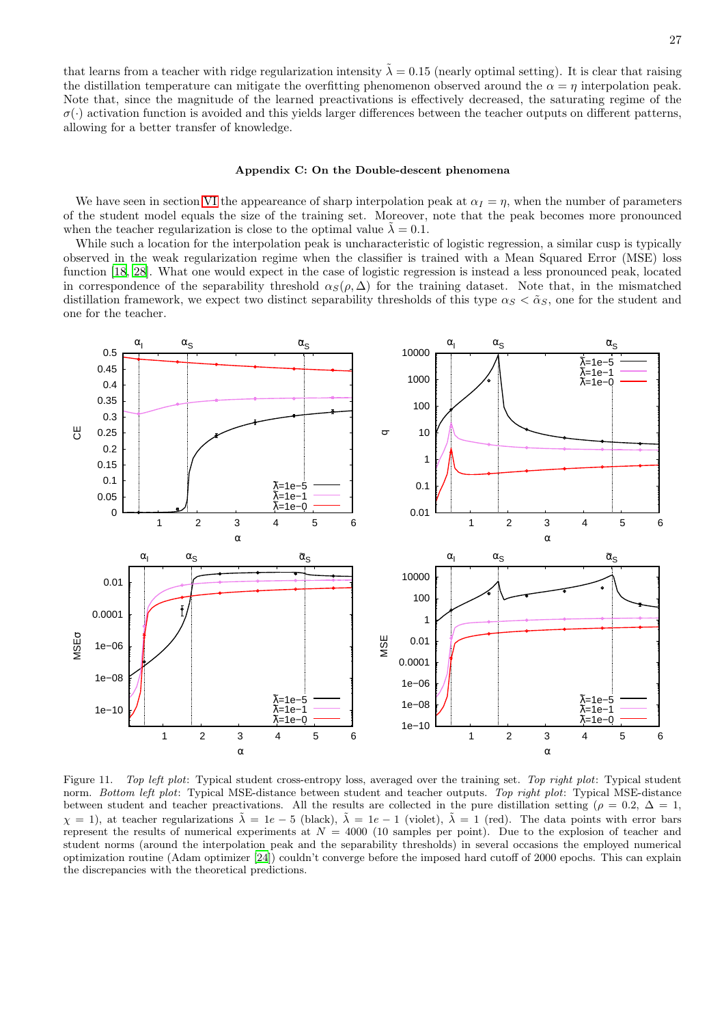that learns from a teacher with ridge regularization intensity  $\tilde{\lambda} = 0.15$  (nearly optimal setting). It is clear that raising the distillation temperature can mitigate the overfitting phenomenon observed around the  $\alpha = \eta$  interpolation peak. Note that, since the magnitude of the learned preactivations is effectively decreased, the saturating regime of the  $\sigma(\cdot)$  activation function is avoided and this yields larger differences between the teacher outputs on different patterns, allowing for a better transfer of knowledge.

### <span id="page-26-0"></span>Appendix C: On the Double-descent phenomena

We have seen in section [VI](#page-9-0) the appeareance of sharp interpolation peak at  $\alpha_I = \eta$ , when the number of parameters of the student model equals the size of the training set. Moreover, note that the peak becomes more pronounced when the teacher regularization is close to the optimal value  $\lambda = 0.1$ .

While such a location for the interpolation peak is uncharacteristic of logistic regression, a similar cusp is typically observed in the weak regularization regime when the classifier is trained with a Mean Squared Error (MSE) loss function [\[18,](#page-11-26) [28\]](#page-11-16). What one would expect in the case of logistic regression is instead a less pronounced peak, located in correspondence of the separability threshold  $\alpha_S(\rho, \Delta)$  for the training dataset. Note that, in the mismatched distillation framework, we expect two distinct separability thresholds of this type  $\alpha_S < \tilde{\alpha}_S$ , one for the student and one for the teacher.



<span id="page-26-1"></span>Figure 11. *Top left plot*: Typical student cross-entropy loss, averaged over the training set. *Top right plot*: Typical student norm. *Bottom left plot*: Typical MSE-distance between student and teacher outputs. *Top right plot*: Typical MSE-distance between student and teacher preactivations. All the results are collected in the pure distillation setting ( $\rho = 0.2$ ,  $\Delta = 1$ ,  $\chi = 1$ ), at teacher regularizations  $\tilde{\lambda} = 1e - 5$  (black),  $\tilde{\lambda} = 1e - 1$  (violet),  $\tilde{\lambda} = 1$  (red). The data points with error bars represent the results of numerical experiments at  $N = 4000$  (10 samples per point). Due to the explosion of teacher and student norms (around the interpolation peak and the separability thresholds) in several occasions the employed numerical optimization routine (Adam optimizer [\[24](#page-11-27)]) couldn't converge before the imposed hard cutoff of 2000 epochs. This can explain the discrepancies with the theoretical predictions.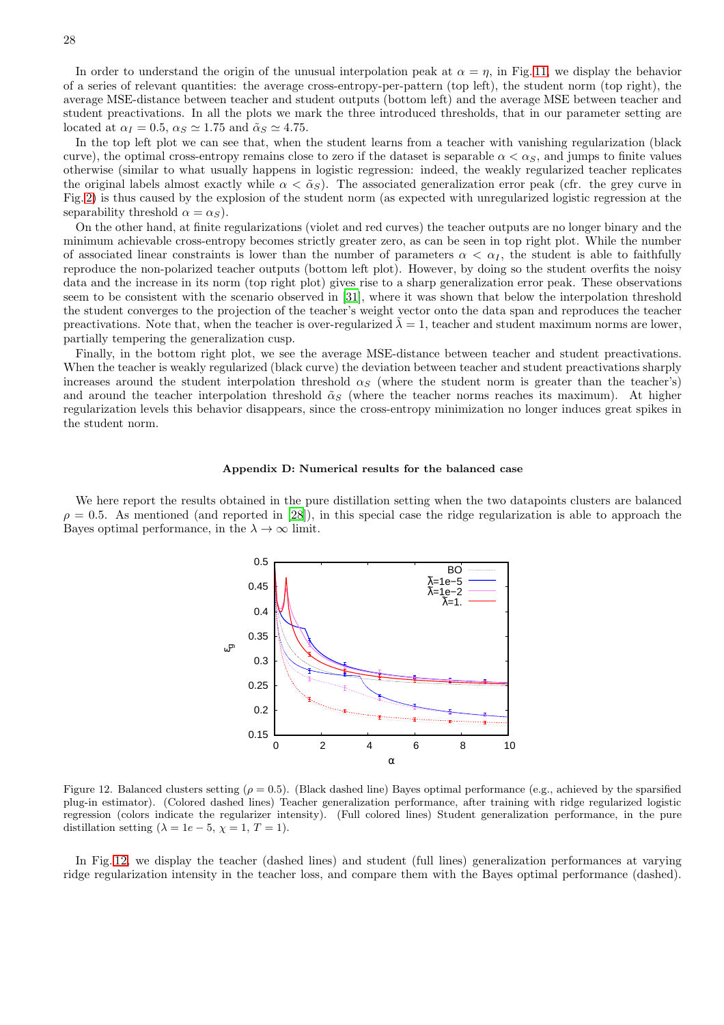In order to understand the origin of the unusual interpolation peak at  $\alpha = \eta$ , in Fig. [11,](#page-26-1) we display the behavior of a series of relevant quantities: the average cross-entropy-per-pattern (top left), the student norm (top right), the average MSE-distance between teacher and student outputs (bottom left) and the average MSE between teacher and student preactivations. In all the plots we mark the three introduced thresholds, that in our parameter setting are located at  $\alpha_I = 0.5$ ,  $\alpha_S \simeq 1.75$  and  $\tilde{\alpha}_S \simeq 4.75$ .

In the top left plot we can see that, when the student learns from a teacher with vanishing regularization (black curve), the optimal cross-entropy remains close to zero if the dataset is separable  $\alpha < \alpha_S$ , and jumps to finite values otherwise (similar to what usually happens in logistic regression: indeed, the weakly regularized teacher replicates the original labels almost exactly while  $\alpha < \tilde{\alpha}_S$ ). The associated generalization error peak (cfr. the grey curve in Fig. [2\)](#page-6-2) is thus caused by the explosion of the student norm (as expected with unregularized logistic regression at the separability threshold  $\alpha = \alpha_S$ ).

On the other hand, at finite regularizations (violet and red curves) the teacher outputs are no longer binary and the minimum achievable cross-entropy becomes strictly greater zero, as can be seen in top right plot. While the number of associated linear constraints is lower than the number of parameters  $\alpha < \alpha_I$ , the student is able to faithfully reproduce the non-polarized teacher outputs (bottom left plot). However, by doing so the student overfits the noisy data and the increase in its norm (top right plot) gives rise to a sharp generalization error peak. These observations seem to be consistent with the scenario observed in [\[31](#page-12-5)], where it was shown that below the interpolation threshold the student converges to the projection of the teacher's weight vector onto the data span and reproduces the teacher preactivations. Note that, when the teacher is over-regularized  $\lambda = 1$ , teacher and student maximum norms are lower, partially tempering the generalization cusp.

Finally, in the bottom right plot, we see the average MSE-distance between teacher and student preactivations. When the teacher is weakly regularized (black curve) the deviation between teacher and student preactivations sharply increases around the student interpolation threshold  $\alpha_S$  (where the student norm is greater than the teacher's) and around the teacher interpolation threshold  $\tilde{\alpha}_S$  (where the teacher norms reaches its maximum). At higher regularization levels this behavior disappears, since the cross-entropy minimization no longer induces great spikes in the student norm.

#### <span id="page-27-0"></span>Appendix D: Numerical results for the balanced case

We here report the results obtained in the pure distillation setting when the two datapoints clusters are balanced  $\rho = 0.5$ . As mentioned (and reported in [\[28](#page-11-16)]), in this special case the ridge regularization is able to approach the Bayes optimal performance, in the  $\lambda \to \infty$  limit.



<span id="page-27-1"></span>Figure 12. Balanced clusters setting ( $\rho = 0.5$ ). (Black dashed line) Bayes optimal performance (e.g., achieved by the sparsified plug-in estimator). (Colored dashed lines) Teacher generalization performance, after training with ridge regularized logistic regression (colors indicate the regularizer intensity). (Full colored lines) Student generalization performance, in the pure distillation setting ( $\lambda = 1e - 5$ ,  $\chi = 1$ ,  $T = 1$ ).

In Fig. [12,](#page-27-1) we display the teacher (dashed lines) and student (full lines) generalization performances at varying ridge regularization intensity in the teacher loss, and compare them with the Bayes optimal performance (dashed).